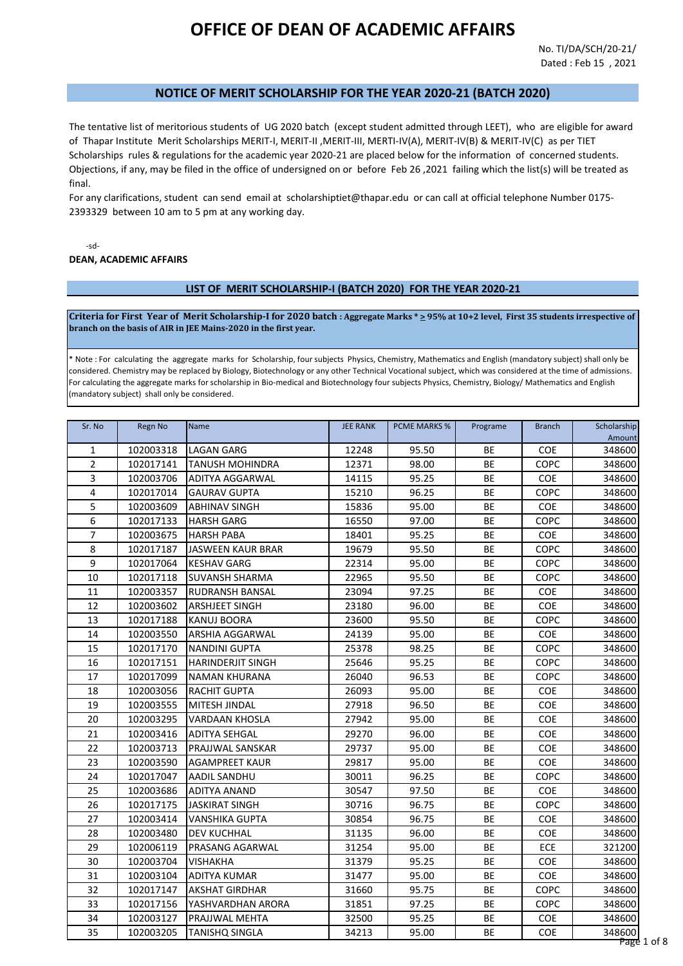# **OFFICE OF DEAN OF ACADEMIC AFFAIRS**

### **NOTICE OF MERIT SCHOLARSHIP FOR THE YEAR 2020-21 (BATCH 2020)**

The tentative list of meritorious students of UG 2020 batch (except student admitted through LEET), who are eligible for award of Thapar Institute Merit Scholarships MERIT-I, MERIT-II ,MERIT-III, MERTI-IV(A), MERIT-IV(B) & MERIT-IV(C) as per TIET Scholarships rules & regulations for the academic year 2020-21 are placed below for the information of concerned students. Objections, if any, may be filed in the office of undersigned on or before Feb 26 ,2021 failing which the list(s) will be treated as final.

For any clarifications, student can send email at scholarshiptiet@thapar.edu or can call at official telephone Number 0175- 2393329 between 10 am to 5 pm at any working day.

-sd-

**DEAN, ACADEMIC AFFAIRS**

#### **LIST OF MERIT SCHOLARSHIP-I (BATCH 2020) FOR THE YEAR 2020-21**

**Criteria for First Year of Merit Scholarship-I for 2020 batch : Aggregate Marks \* > 95% at 10+2 level, First 35 students irrespective of branch on the basis of AIR in JEE Mains-2020 in the first year.**

\* Note : For calculating the aggregate marks for Scholarship, four subjects Physics, Chemistry, Mathematics and English (mandatory subject) shall only be considered. Chemistry may be replaced by Biology, Biotechnology or any other Technical Vocational subject, which was considered at the time of admissions. For calculating the aggregate marks for scholarship in Bio-medical and Biotechnology four subjects Physics, Chemistry, Biology/ Mathematics and English (mandatory subject) shall only be considered.

| Sr. No         | Regn No   | Name                     | <b>JEE RANK</b> | <b>PCME MARKS %</b> | Programe  | <b>Branch</b> | Scholarship |
|----------------|-----------|--------------------------|-----------------|---------------------|-----------|---------------|-------------|
|                |           |                          |                 |                     |           |               | Amount      |
| 1              | 102003318 | <b>LAGAN GARG</b>        | 12248           | 95.50               | BE        | <b>COE</b>    | 348600      |
| $\overline{2}$ | 102017141 | <b>TANUSH MOHINDRA</b>   | 12371           | 98.00               | BE        | <b>COPC</b>   | 348600      |
| 3              | 102003706 | ADITYA AGGARWAL          | 14115           | 95.25               | <b>BE</b> | <b>COE</b>    | 348600      |
| 4              | 102017014 | <b>GAURAV GUPTA</b>      | 15210           | 96.25               | BE        | COPC          | 348600      |
| 5              | 102003609 | <b>ABHINAV SINGH</b>     | 15836           | 95.00               | BE        | <b>COE</b>    | 348600      |
| 6              | 102017133 | <b>HARSH GARG</b>        | 16550           | 97.00               | BE        | COPC          | 348600      |
| 7              | 102003675 | <b>HARSH PABA</b>        | 18401           | 95.25               | BE        | <b>COE</b>    | 348600      |
| 8              | 102017187 | JASWEEN KAUR BRAR        | 19679           | 95.50               | BE        | COPC          | 348600      |
| 9              | 102017064 | <b>KESHAV GARG</b>       | 22314           | 95.00               | BE        | <b>COPC</b>   | 348600      |
| 10             | 102017118 | <b>SUVANSH SHARMA</b>    | 22965           | 95.50               | BE        | COPC          | 348600      |
| 11             | 102003357 | RUDRANSH BANSAL          | 23094           | 97.25               | BE        | COE           | 348600      |
| 12             | 102003602 | ARSHJEET SINGH           | 23180           | 96.00               | BE        | COE           | 348600      |
| 13             | 102017188 | KANUJ BOORA              | 23600           | 95.50               | BE        | <b>COPC</b>   | 348600      |
| 14             | 102003550 | ARSHIA AGGARWAL          | 24139           | 95.00               | BE        | <b>COE</b>    | 348600      |
| 15             | 102017170 | <b>NANDINI GUPTA</b>     | 25378           | 98.25               | BE        | <b>COPC</b>   | 348600      |
| 16             | 102017151 | <b>HARINDERJIT SINGH</b> | 25646           | 95.25               | BE        | <b>COPC</b>   | 348600      |
| 17             | 102017099 | <b>NAMAN KHURANA</b>     | 26040           | 96.53               | BE        | <b>COPC</b>   | 348600      |
| 18             | 102003056 | <b>RACHIT GUPTA</b>      | 26093           | 95.00               | BE        | <b>COE</b>    | 348600      |
| 19             | 102003555 | MITESH JINDAL            | 27918           | 96.50               | BE        | <b>COE</b>    | 348600      |
| 20             | 102003295 | <b>VARDAAN KHOSLA</b>    | 27942           | 95.00               | BE        | COE           | 348600      |
| 21             | 102003416 | <b>ADITYA SEHGAL</b>     | 29270           | 96.00               | BE        | <b>COE</b>    | 348600      |
| 22             | 102003713 | PRAJJWAL SANSKAR         | 29737           | 95.00               | BE        | COE           | 348600      |
| 23             | 102003590 | <b>AGAMPREET KAUR</b>    | 29817           | 95.00               | BE        | <b>COE</b>    | 348600      |
| 24             | 102017047 | AADIL SANDHU             | 30011           | 96.25               | BE        | COPC          | 348600      |
| 25             | 102003686 | <b>ADITYA ANAND</b>      | 30547           | 97.50               | <b>BE</b> | COE           | 348600      |
| 26             | 102017175 | <b>JASKIRAT SINGH</b>    | 30716           | 96.75               | BE        | COPC          | 348600      |
| 27             | 102003414 | <b>VANSHIKA GUPTA</b>    | 30854           | 96.75               | <b>BE</b> | <b>COE</b>    | 348600      |
| 28             | 102003480 | DEV KUCHHAL              | 31135           | 96.00               | BE        | COE           | 348600      |
| 29             | 102006119 | PRASANG AGARWAL          | 31254           | 95.00               | <b>BE</b> | <b>ECE</b>    | 321200      |
| 30             | 102003704 | VISHAKHA                 | 31379           | 95.25               | BE        | <b>COE</b>    | 348600      |
| 31             | 102003104 | ADITYA KUMAR             | 31477           | 95.00               | <b>BE</b> | <b>COE</b>    | 348600      |
| 32             | 102017147 | <b>AKSHAT GIRDHAR</b>    | 31660           | 95.75               | BE        | <b>COPC</b>   | 348600      |
| 33             | 102017156 | YASHVARDHAN ARORA        | 31851           | 97.25               | <b>BE</b> | <b>COPC</b>   | 348600      |
| 34             | 102003127 | PRAJJWAL MEHTA           | 32500           | 95.25               | <b>BE</b> | COE           | 348600      |
| 35             | 102003205 | <b>TANISHQ SINGLA</b>    | 34213           | 95.00               | <b>BE</b> | <b>COE</b>    | 348600      |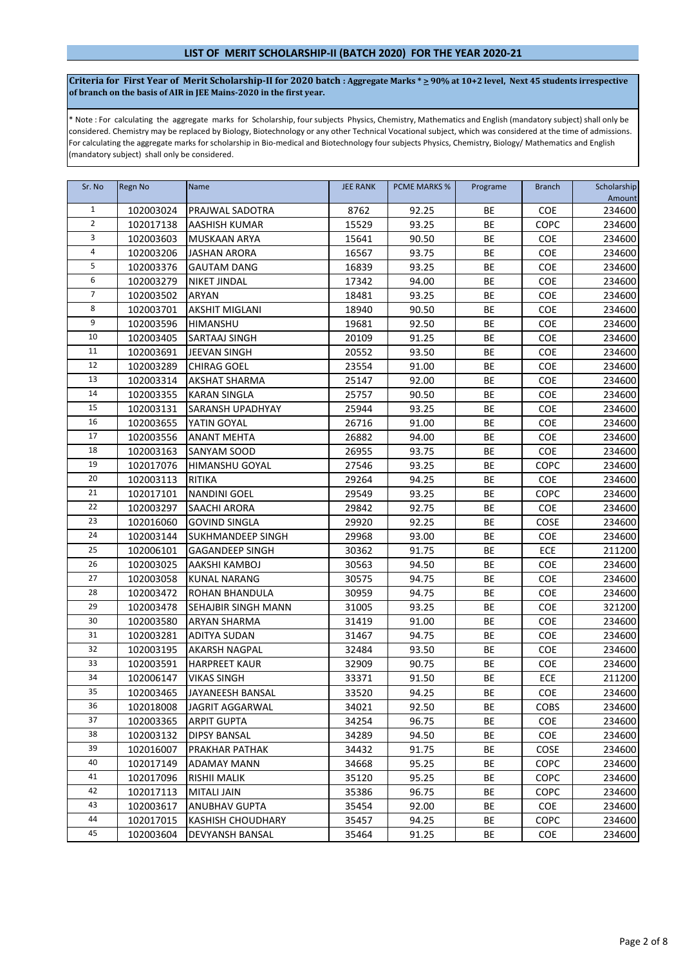Criteria for First Year of Merit Scholarship-II for 2020 batch : Aggregate Marks \*  $\geq$  90% at 10+2 level, Next 45 students irrespective **of branch on the basis of AIR in JEE Mains-2020 in the first year.**

\* Note : For calculating the aggregate marks for Scholarship, four subjects Physics, Chemistry, Mathematics and English (mandatory subject) shall only be considered. Chemistry may be replaced by Biology, Biotechnology or any other Technical Vocational subject, which was considered at the time of admissions. For calculating the aggregate marks for scholarship in Bio-medical and Biotechnology four subjects Physics, Chemistry, Biology/ Mathematics and English (mandatory subject) shall only be considered.

| Sr. No         | <b>Regn No</b> | <b>Name</b>                | <b>JEE RANK</b> | <b>PCME MARKS %</b> | Programe  | <b>Branch</b> | Scholarship<br>Amount |
|----------------|----------------|----------------------------|-----------------|---------------------|-----------|---------------|-----------------------|
| $\mathbf{1}$   | 102003024      | PRAJWAL SADOTRA            | 8762            | 92.25               | <b>BE</b> | <b>COE</b>    | 234600                |
| $\overline{2}$ | 102017138      | AASHISH KUMAR              | 15529           | 93.25               | BE        | COPC          | 234600                |
| $\overline{3}$ | 102003603      | <b>MUSKAAN ARYA</b>        | 15641           | 90.50               | BE        | COE           | 234600                |
| $\overline{4}$ | 102003206      | <b>JASHAN ARORA</b>        | 16567           | 93.75               | BE        | <b>COE</b>    | 234600                |
| 5              | 102003376      | <b>GAUTAM DANG</b>         | 16839           | 93.25               | BE        | COE           | 234600                |
| 6              | 102003279      | <b>NIKET JINDAL</b>        | 17342           | 94.00               | BE        | COE           | 234600                |
| $\overline{7}$ | 102003502      | <b>ARYAN</b>               | 18481           | 93.25               | BE        | <b>COE</b>    | 234600                |
| 8              | 102003701      | <b>AKSHIT MIGLANI</b>      | 18940           | 90.50               | BE        | COE           | 234600                |
| 9              | 102003596      | <b>HIMANSHU</b>            | 19681           | 92.50               | BE        | COE           | 234600                |
| 10             | 102003405      | SARTAAJ SINGH              | 20109           | 91.25               | BE        | <b>COE</b>    | 234600                |
| 11             | 102003691      | JEEVAN SINGH               | 20552           | 93.50               | BE        | COE           | 234600                |
| 12             | 102003289      | <b>CHIRAG GOEL</b>         | 23554           | 91.00               | BE        | COE           | 234600                |
| 13             | 102003314      | <b>AKSHAT SHARMA</b>       | 25147           | 92.00               | BE        | <b>COE</b>    | 234600                |
| 14             | 102003355      | <b>KARAN SINGLA</b>        | 25757           | 90.50               | BE        | COE           | 234600                |
| 15             | 102003131      | <b>SARANSH UPADHYAY</b>    | 25944           | 93.25               | BE        | COE           | 234600                |
| 16             | 102003655      | YATIN GOYAL                | 26716           | 91.00               | BE        | COE           | 234600                |
| 17             | 102003556      | <b>ANANT MEHTA</b>         | 26882           | 94.00               | BE        | <b>COE</b>    | 234600                |
| 18             | 102003163      | <b>SANYAM SOOD</b>         | 26955           | 93.75               | BE        | COE           | 234600                |
| 19             | 102017076      | <b>HIMANSHU GOYAL</b>      | 27546           | 93.25               | BE        | COPC          | 234600                |
| 20             | 102003113      | RITIKA                     | 29264           | 94.25               | BE        | COE           | 234600                |
| 21             | 102017101      | <b>NANDINI GOEL</b>        | 29549           | 93.25               | BE        | COPC          | 234600                |
| 22             | 102003297      | <b>SAACHI ARORA</b>        | 29842           | 92.75               | <b>BE</b> | <b>COE</b>    | 234600                |
| 23             | 102016060      | <b>GOVIND SINGLA</b>       | 29920           | 92.25               | BE        | COSE          | 234600                |
| 24             | 102003144      | SUKHMANDEEP SINGH          | 29968           | 93.00               | BE        | COE           | 234600                |
| 25             | 102006101      | <b>GAGANDEEP SINGH</b>     | 30362           | 91.75               | BE        | ECE           | 211200                |
| 26             | 102003025      | AAKSHI KAMBOJ              | 30563           | 94.50               | BE        | <b>COE</b>    | 234600                |
| 27             | 102003058      | KUNAL NARANG               | 30575           | 94.75               | BE        | <b>COE</b>    | 234600                |
| 28             | 102003472      | ROHAN BHANDULA             | 30959           | 94.75               | BE        | COE           | 234600                |
| 29             | 102003478      | <b>SEHAJBIR SINGH MANN</b> | 31005           | 93.25               | BE        | COE           | 321200                |
| 30             | 102003580      | <b>ARYAN SHARMA</b>        | 31419           | 91.00               | BE        | <b>COE</b>    | 234600                |
| 31             | 102003281      | <b>ADITYA SUDAN</b>        | 31467           | 94.75               | BE        | COE           | 234600                |
| 32             | 102003195      | <b>AKARSH NAGPAL</b>       | 32484           | 93.50               | BE        | <b>COE</b>    | 234600                |
| 33             | 102003591      | <b>HARPREET KAUR</b>       | 32909           | 90.75               | BE        | COE           | 234600                |
| 34             | 102006147      | <b>VIKAS SINGH</b>         | 33371           | 91.50               | BE        | ECE           | 211200                |
| 35             | 102003465      | JAYANEESH BANSAL           | 33520           | 94.25               | BE        | COE           | 234600                |
| 36             | 102018008      | JAGRIT AGGARWAL            | 34021           | 92.50               | BE        | <b>COBS</b>   | 234600                |
| 37             | 102003365      | <b>ARPIT GUPTA</b>         | 34254           | 96.75               | BE        | COE           | 234600                |
| 38             | 102003132      | <b>DIPSY BANSAL</b>        | 34289           | 94.50               | BE        | <b>COE</b>    | 234600                |
| 39             | 102016007      | PRAKHAR PATHAK             | 34432           | 91.75               | BE        | COSE          | 234600                |
| 40             | 102017149      | <b>ADAMAY MANN</b>         | 34668           | 95.25               | BE        | <b>COPC</b>   | 234600                |
| 41             | 102017096      | <b>RISHII MALIK</b>        | 35120           | 95.25               | BE        | COPC          | 234600                |
| 42             | 102017113      | <b>MITALI JAIN</b>         | 35386           | 96.75               | BE        | <b>COPC</b>   | 234600                |
| 43             | 102003617      | <b>ANUBHAV GUPTA</b>       | 35454           | 92.00               | BE        | COE           | 234600                |
| 44             | 102017015      | <b>KASHISH CHOUDHARY</b>   | 35457           | 94.25               | BE        | <b>COPC</b>   | 234600                |
| 45             | 102003604      | <b>DEVYANSH BANSAL</b>     | 35464           | 91.25               | BE        | <b>COE</b>    | 234600                |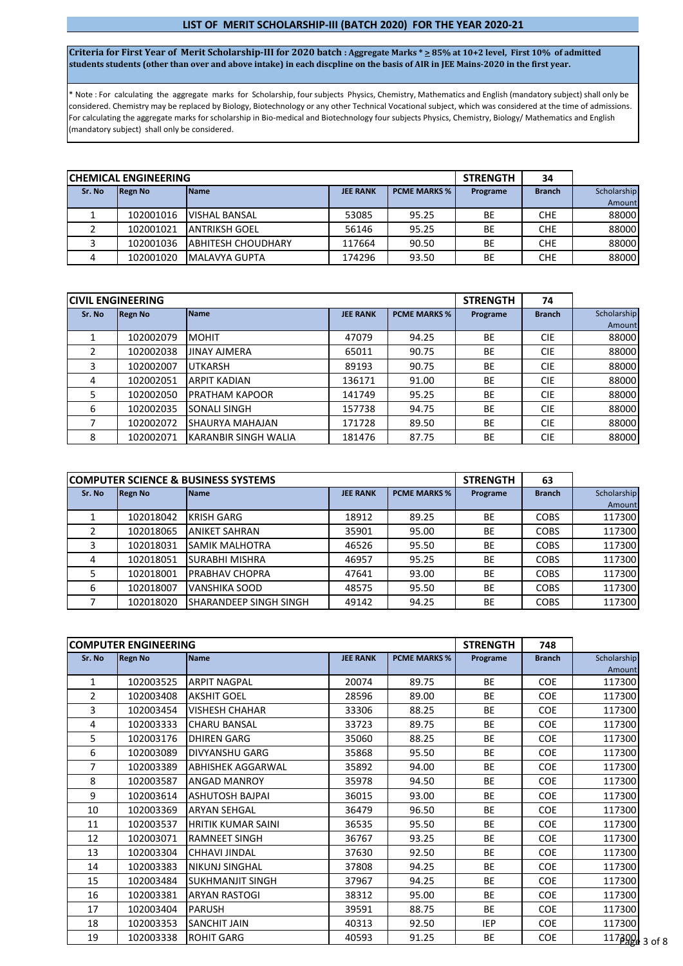#### **LIST OF MERIT SCHOLARSHIP-III (BATCH 2020) FOR THE YEAR 2020-21**

**Criteria for First Year of Merit Scholarship-III for 2020 batch : Aggregate Marks \* > 85% at 10+2 level, First 10% of admitted students students (other than over and above intake) in each discpline on the basis of AIR in JEE Mains-2020 in the first year.**

\* Note : For calculating the aggregate marks for Scholarship, four subjects Physics, Chemistry, Mathematics and English (mandatory subject) shall only be considered. Chemistry may be replaced by Biology, Biotechnology or any other Technical Vocational subject, which was considered at the time of admissions. For calculating the aggregate marks for scholarship in Bio-medical and Biotechnology four subjects Physics, Chemistry, Biology/ Mathematics and English (mandatory subject) shall only be considered.

|        | <b>ICHEMICAL ENGINEERING</b> |                            | <b>STRENGTH</b> | 34                  |          |               |             |
|--------|------------------------------|----------------------------|-----------------|---------------------|----------|---------------|-------------|
| Sr. No | <b>IRegn No</b>              | <b>Name</b>                | <b>JEE RANK</b> | <b>PCME MARKS %</b> | Programe | <b>Branch</b> | Scholarship |
|        |                              |                            |                 |                     |          |               | Amount      |
|        | 102001016                    | <b>VISHAL BANSAL</b>       | 53085           | 95.25               | BE       | <b>CHE</b>    | 88000       |
|        | 102001021                    | <b>ANTRIKSH GOEL</b>       | 56146           | 95.25               | BE       | <b>CHE</b>    | 88000       |
|        | 102001036                    | <b>JABHITESH CHOUDHARY</b> | 117664          | 90.50               | BE       | <b>CHE</b>    | 88000       |
|        | 102001020                    | MALAVYA GUPTA              | 174296          | 93.50               | BE       | CHE           | 88000       |

|        | <b>ICIVIL ENGINEERING</b> |                        |                 |                     | <b>STRENGTH</b> | 74            |             |
|--------|---------------------------|------------------------|-----------------|---------------------|-----------------|---------------|-------------|
| Sr. No | <b>Regn No</b>            | <b>Name</b>            | <b>JEE RANK</b> | <b>PCME MARKS %</b> | Programe        | <b>Branch</b> | Scholarship |
|        |                           |                        |                 |                     |                 |               | Amount      |
|        | 102002079                 | <b>MOHIT</b>           | 47079           | 94.25               | <b>BE</b>       | <b>CIE</b>    | 88000       |
|        | 102002038                 | <b>JINAY AJMERA</b>    | 65011           | 90.75               | <b>BE</b>       | <b>CIE</b>    | 88000       |
|        | 102002007                 | <b>UTKARSH</b>         | 89193           | 90.75               | <b>BE</b>       | <b>CIE</b>    | 88000       |
| 4      | 102002051                 | <b>ARPIT KADIAN</b>    | 136171          | 91.00               | <b>BE</b>       | <b>CIE</b>    | 88000       |
| 5      | 102002050                 | <b>PRATHAM KAPOOR</b>  | 141749          | 95.25               | <b>BE</b>       | <b>CIE</b>    | 88000       |
| 6      | 102002035                 | SONALI SINGH           | 157738          | 94.75               | <b>BE</b>       | <b>CIE</b>    | 88000       |
|        | 102002072                 | <b>SHAURYA MAHAJAN</b> | 171728          | 89.50               | <b>BE</b>       | <b>CIE</b>    | 88000       |
| 8      | 102002071                 | KARANBIR SINGH WALIA   | 181476          | 87.75               | <b>BE</b>       | <b>CIE</b>    | 88000       |

|        |                | <b>ICOMPUTER SCIENCE &amp; BUSINESS SYSTEMS</b> |                 | <b>STRENGTH</b>     | 63        |               |             |
|--------|----------------|-------------------------------------------------|-----------------|---------------------|-----------|---------------|-------------|
| Sr. No | <b>Regn No</b> | <b>Name</b>                                     | <b>JEE RANK</b> | <b>PCME MARKS %</b> | Programe  | <b>Branch</b> | Scholarship |
|        |                |                                                 |                 |                     |           |               | Amount      |
|        | 102018042      | <b>KRISH GARG</b>                               | 18912           | 89.25               | <b>BE</b> | <b>COBS</b>   | 117300      |
|        | 102018065      | <b>ANIKET SAHRAN</b>                            | 35901           | 95.00               | <b>BE</b> | <b>COBS</b>   | 117300      |
|        | 102018031      | <b>SAMIK MALHOTRA</b>                           | 46526           | 95.50               | BE        | <b>COBS</b>   | 117300      |
| 4      | 102018051      | <b>SURABHI MISHRA</b>                           | 46957           | 95.25               | <b>BE</b> | <b>COBS</b>   | 117300      |
|        | 102018001      | <b>PRABHAV CHOPRA</b>                           | 47641           | 93.00               | <b>BE</b> | <b>COBS</b>   | 117300      |
| 6      | 102018007      | <b>VANSHIKA SOOD</b>                            | 48575           | 95.50               | <b>BE</b> | <b>COBS</b>   | 117300      |
|        | 102018020      | ISHARANDEEP SINGH SINGH                         | 49142           | 94.25               | <b>BE</b> | <b>COBS</b>   | 117300      |

|                | <b>COMPUTER ENGINEERING</b> |                           |                 |                     | <b>STRENGTH</b> | 748           |                  |
|----------------|-----------------------------|---------------------------|-----------------|---------------------|-----------------|---------------|------------------|
| Sr. No         | <b>Regn No</b>              | <b>Name</b>               | <b>JEE RANK</b> | <b>PCME MARKS %</b> | Programe        | <b>Branch</b> | Scholarship      |
| $\mathbf{1}$   | 102003525                   | <b>ARPIT NAGPAL</b>       | 20074           | 89.75               | <b>BE</b>       | <b>COE</b>    | Amount<br>117300 |
| $\overline{2}$ | 102003408                   | <b>AKSHIT GOEL</b>        | 28596           | 89.00               | <b>BE</b>       | <b>COE</b>    | 117300           |
| 3              | 102003454                   | <b>VISHESH CHAHAR</b>     | 33306           | 88.25               | <b>BE</b>       | <b>COE</b>    | 117300           |
| 4              | 102003333                   | <b>CHARU BANSAL</b>       | 33723           | 89.75               | <b>BE</b>       | <b>COE</b>    | 117300           |
| 5              | 102003176                   | <b>DHIREN GARG</b>        | 35060           | 88.25               | <b>BE</b>       | <b>COE</b>    | 117300           |
| 6              | 102003089                   | <b>DIVYANSHU GARG</b>     | 35868           | 95.50               | <b>BE</b>       | <b>COE</b>    | 117300           |
| 7              | 102003389                   | <b>ABHISHEK AGGARWAL</b>  | 35892           | 94.00               | <b>BE</b>       | <b>COE</b>    | 117300           |
| 8              | 102003587                   | <b>ANGAD MANROY</b>       | 35978           | 94.50               | <b>BE</b>       | <b>COE</b>    | 117300           |
| 9              | 102003614                   | <b>ASHUTOSH BAJPAI</b>    | 36015           | 93.00               | <b>BE</b>       | <b>COE</b>    | 117300           |
| 10             | 102003369                   | <b>ARYAN SEHGAL</b>       | 36479           | 96.50               | <b>BE</b>       | <b>COE</b>    | 117300           |
| 11             | 102003537                   | <b>HRITIK KUMAR SAINI</b> | 36535           | 95.50               | <b>BE</b>       | <b>COE</b>    | 117300           |
| 12             | 102003071                   | <b>RAMNEET SINGH</b>      | 36767           | 93.25               | <b>BE</b>       | <b>COE</b>    | 117300           |
| 13             | 102003304                   | <b>CHHAVI JINDAL</b>      | 37630           | 92.50               | <b>BE</b>       | <b>COE</b>    | 117300           |
| 14             | 102003383                   | <b>NIKUNJ SINGHAL</b>     | 37808           | 94.25               | <b>BE</b>       | <b>COE</b>    | 117300           |
| 15             | 102003484                   | <b>SUKHMANJIT SINGH</b>   | 37967           | 94.25               | <b>BE</b>       | <b>COE</b>    | 117300           |
| 16             | 102003381                   | <b>ARYAN RASTOGI</b>      | 38312           | 95.00               | <b>BE</b>       | <b>COE</b>    | 117300           |
| 17             | 102003404                   | <b>PARUSH</b>             | 39591           | 88.75               | <b>BE</b>       | <b>COE</b>    | 117300           |
| 18             | 102003353                   | <b>SANCHIT JAIN</b>       | 40313           | 92.50               | <b>IEP</b>      | <b>COE</b>    | 117300           |
| 19             | 102003338                   | <b>ROHIT GARG</b>         | 40593           | 91.25               | <b>BE</b>       | <b>COE</b>    | $11739943$ of 8  |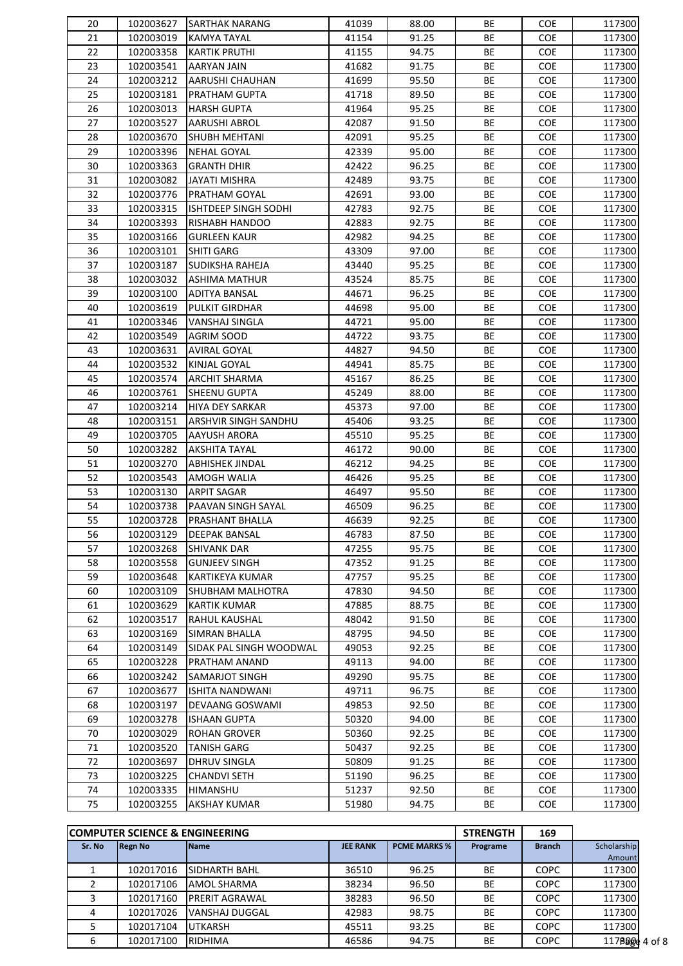| 91.25<br>21<br>102003019<br>KAMYA TAYAL<br>41154<br>BE<br><b>COE</b><br>22<br>41155<br>94.75<br>BE<br>102003358<br><b>KARTIK PRUTHI</b><br><b>COE</b><br>23<br>102003541<br>41682<br>91.75<br>BE<br>AARYAN JAIN<br><b>COE</b><br>24<br>102003212<br>AARUSHI CHAUHAN<br>41699<br>95.50<br>BE<br><b>COE</b><br>25<br>102003181<br>PRATHAM GUPTA<br>41718<br>89.50<br>BE<br><b>COE</b><br>26<br>102003013<br>41964<br>95.25<br>BE<br><b>HARSH GUPTA</b><br><b>COE</b><br>27<br>91.50<br>BE<br>102003527<br><b>AARUSHI ABROL</b><br>42087<br><b>COE</b><br>BE<br>28<br>102003670<br>SHUBH MEHTANI<br>42091<br>95.25<br><b>COE</b><br>29<br>BE<br>102003396<br>42339<br>95.00<br><b>COE</b><br>NEHAL GOYAL<br>BE<br>30<br>102003363<br><b>GRANTH DHIR</b><br>42422<br>96.25<br><b>COE</b><br>31<br>93.75<br>BE<br>102003082<br>JAYATI MISHRA<br>42489<br><b>COE</b><br>32<br>BE<br>102003776<br>PRATHAM GOYAL<br>42691<br>93.00<br><b>COE</b><br>33<br>42783<br>92.75<br>BE<br>102003315<br>ISHTDEEP SINGH SODHI<br><b>COE</b><br>34<br>42883<br>92.75<br>BE<br>102003393<br>RISHABH HANDOO<br><b>COE</b><br>35<br>42982<br>94.25<br>BE<br>102003166<br><b>GURLEEN KAUR</b><br><b>COE</b><br>36<br>97.00<br>BE<br>102003101<br>SHITI GARG<br>43309<br><b>COE</b><br>37<br>BE<br>102003187<br>SUDIKSHA RAHEJA<br>43440<br>95.25<br><b>COE</b><br>38<br>BE<br>102003032<br><b>ASHIMA MATHUR</b><br>43524<br>85.75<br><b>COE</b><br>39<br>44671<br>96.25<br>BE<br>102003100<br><b>ADITYA BANSAL</b><br><b>COE</b><br>40<br>44698<br>95.00<br>BE<br>102003619<br>PULKIT GIRDHAR<br><b>COE</b><br>41<br>95.00<br>BE<br>102003346<br>VANSHAJ SINGLA<br>44721<br><b>COE</b><br>BE<br>42<br>102003549<br>44722<br>93.75<br><b>AGRIM SOOD</b><br><b>COE</b><br>43<br>44827<br>BE<br>102003631<br><b>AVIRAL GOYAL</b><br>94.50<br><b>COE</b><br>44<br>102003532<br>44941<br>BE<br>KINJAL GOYAL<br>85.75<br><b>COE</b><br>BE<br>45<br>102003574<br><b>ARCHIT SHARMA</b><br>45167<br>86.25<br><b>COE</b><br>46<br>BE<br>102003761<br><b>SHEENU GUPTA</b><br>45249<br>88.00<br><b>COE</b><br>47<br>BE<br>102003214<br>HIYA DEY SARKAR<br>45373<br>97.00<br><b>COE</b><br>48<br>102003151<br>45406<br>93.25<br>BE<br>ARSHVIR SINGH SANDHU<br><b>COE</b><br>49<br>45510<br>95.25<br>BE<br>102003705<br><b>AAYUSH ARORA</b><br><b>COE</b><br>50<br>102003282<br>46172<br>BE<br><b>AKSHITA TAYAL</b><br>90.00<br><b>COE</b><br>51<br>46212<br>94.25<br>BE<br>102003270<br><b>ABHISHEK JINDAL</b><br><b>COE</b><br>52<br>46426<br>95.25<br>BE<br>102003543<br>AMOGH WALIA<br><b>COE</b><br>53<br>95.50<br>BE<br>102003130<br><b>ARPIT SAGAR</b><br>46497<br><b>COE</b><br>54<br>BE<br>102003738<br>PAAVAN SINGH SAYAL<br>46509<br>96.25<br><b>COE</b><br>55<br>BE<br>102003728<br>PRASHANT BHALLA<br>46639<br>92.25<br><b>COE</b><br>56<br>102003129<br><b>DEEPAK BANSAL</b><br>46783<br>87.50<br>BE<br>COE<br>57<br>102003268<br>47255<br>95.75<br>BE<br><b>SHIVANK DAR</b><br><b>COE</b><br>58<br>102003558<br><b>GUNJEEV SINGH</b><br>47352<br>91.25<br>BE<br><b>COE</b><br>59<br>102003648<br>KARTIKEYA KUMAR<br>47757<br>95.25<br>BE<br><b>COE</b><br>102003109<br>BE<br>60<br>SHUBHAM MALHOTRA<br>47830<br>94.50<br><b>COE</b><br>BE<br>61<br>102003629<br><b>KARTIK KUMAR</b><br>47885<br>88.75<br><b>COE</b><br>62<br>102003517<br>RAHUL KAUSHAL<br>48042<br>91.50<br>ВE<br><b>COE</b><br>63<br>102003169<br>94.50<br>BE<br>SIMRAN BHALLA<br>48795<br><b>COE</b><br>64<br>102003149<br>92.25<br>BE<br>SIDAK PAL SINGH WOODWAL<br>49053<br><b>COE</b><br>65<br>102003228<br>PRATHAM ANAND<br>49113<br>94.00<br>BE<br><b>COE</b><br>66<br>102003242<br>49290<br>95.75<br>BE<br>SAMARJOT SINGH<br><b>COE</b><br>67<br>49711<br>96.75<br>BE<br>102003677<br>ISHITA NANDWANI<br><b>COE</b><br>68<br>102003197<br>49853<br>92.50<br>BE<br>DEVAANG GOSWAMI<br><b>COE</b><br>69<br>102003278<br>50320<br>94.00<br>BE<br><b>ISHAAN GUPTA</b><br><b>COE</b><br>70<br>102003029<br><b>ROHAN GROVER</b><br>50360<br>92.25<br>BE<br><b>COE</b><br>71<br>102003520<br>TANISH GARG<br>50437<br>92.25<br>BE<br><b>COE</b><br>72<br>102003697<br><b>DHRUV SINGLA</b><br>50809<br>91.25<br>BE<br><b>COE</b><br>73<br>102003225<br><b>CHANDVI SETH</b><br>51190<br>96.25<br>BE<br><b>COE</b> | 20 | 102003627 | <b>SARTHAK NARANG</b> | 41039 | 88.00 | ВE | COE        | 117300 |
|------------------------------------------------------------------------------------------------------------------------------------------------------------------------------------------------------------------------------------------------------------------------------------------------------------------------------------------------------------------------------------------------------------------------------------------------------------------------------------------------------------------------------------------------------------------------------------------------------------------------------------------------------------------------------------------------------------------------------------------------------------------------------------------------------------------------------------------------------------------------------------------------------------------------------------------------------------------------------------------------------------------------------------------------------------------------------------------------------------------------------------------------------------------------------------------------------------------------------------------------------------------------------------------------------------------------------------------------------------------------------------------------------------------------------------------------------------------------------------------------------------------------------------------------------------------------------------------------------------------------------------------------------------------------------------------------------------------------------------------------------------------------------------------------------------------------------------------------------------------------------------------------------------------------------------------------------------------------------------------------------------------------------------------------------------------------------------------------------------------------------------------------------------------------------------------------------------------------------------------------------------------------------------------------------------------------------------------------------------------------------------------------------------------------------------------------------------------------------------------------------------------------------------------------------------------------------------------------------------------------------------------------------------------------------------------------------------------------------------------------------------------------------------------------------------------------------------------------------------------------------------------------------------------------------------------------------------------------------------------------------------------------------------------------------------------------------------------------------------------------------------------------------------------------------------------------------------------------------------------------------------------------------------------------------------------------------------------------------------------------------------------------------------------------------------------------------------------------------------------------------------------------------------------------------------------------------------------------------------------------------------------------------------------------------------------------------------------------------------------------------------------------------------------------------------------------------------------------------------------------------------------------------------------------------------------------------------------------------------------------------------------------------------------------------------------------------------------------------------------------------------------------------------------------------------------------------------------------------------------------------------|----|-----------|-----------------------|-------|-------|----|------------|--------|
|                                                                                                                                                                                                                                                                                                                                                                                                                                                                                                                                                                                                                                                                                                                                                                                                                                                                                                                                                                                                                                                                                                                                                                                                                                                                                                                                                                                                                                                                                                                                                                                                                                                                                                                                                                                                                                                                                                                                                                                                                                                                                                                                                                                                                                                                                                                                                                                                                                                                                                                                                                                                                                                                                                                                                                                                                                                                                                                                                                                                                                                                                                                                                                                                                                                                                                                                                                                                                                                                                                                                                                                                                                                                                                                                                                                                                                                                                                                                                                                                                                                                                                                                                                                                                                                            |    |           |                       |       |       |    |            | 117300 |
|                                                                                                                                                                                                                                                                                                                                                                                                                                                                                                                                                                                                                                                                                                                                                                                                                                                                                                                                                                                                                                                                                                                                                                                                                                                                                                                                                                                                                                                                                                                                                                                                                                                                                                                                                                                                                                                                                                                                                                                                                                                                                                                                                                                                                                                                                                                                                                                                                                                                                                                                                                                                                                                                                                                                                                                                                                                                                                                                                                                                                                                                                                                                                                                                                                                                                                                                                                                                                                                                                                                                                                                                                                                                                                                                                                                                                                                                                                                                                                                                                                                                                                                                                                                                                                                            |    |           |                       |       |       |    |            | 117300 |
|                                                                                                                                                                                                                                                                                                                                                                                                                                                                                                                                                                                                                                                                                                                                                                                                                                                                                                                                                                                                                                                                                                                                                                                                                                                                                                                                                                                                                                                                                                                                                                                                                                                                                                                                                                                                                                                                                                                                                                                                                                                                                                                                                                                                                                                                                                                                                                                                                                                                                                                                                                                                                                                                                                                                                                                                                                                                                                                                                                                                                                                                                                                                                                                                                                                                                                                                                                                                                                                                                                                                                                                                                                                                                                                                                                                                                                                                                                                                                                                                                                                                                                                                                                                                                                                            |    |           |                       |       |       |    |            | 117300 |
|                                                                                                                                                                                                                                                                                                                                                                                                                                                                                                                                                                                                                                                                                                                                                                                                                                                                                                                                                                                                                                                                                                                                                                                                                                                                                                                                                                                                                                                                                                                                                                                                                                                                                                                                                                                                                                                                                                                                                                                                                                                                                                                                                                                                                                                                                                                                                                                                                                                                                                                                                                                                                                                                                                                                                                                                                                                                                                                                                                                                                                                                                                                                                                                                                                                                                                                                                                                                                                                                                                                                                                                                                                                                                                                                                                                                                                                                                                                                                                                                                                                                                                                                                                                                                                                            |    |           |                       |       |       |    |            | 117300 |
|                                                                                                                                                                                                                                                                                                                                                                                                                                                                                                                                                                                                                                                                                                                                                                                                                                                                                                                                                                                                                                                                                                                                                                                                                                                                                                                                                                                                                                                                                                                                                                                                                                                                                                                                                                                                                                                                                                                                                                                                                                                                                                                                                                                                                                                                                                                                                                                                                                                                                                                                                                                                                                                                                                                                                                                                                                                                                                                                                                                                                                                                                                                                                                                                                                                                                                                                                                                                                                                                                                                                                                                                                                                                                                                                                                                                                                                                                                                                                                                                                                                                                                                                                                                                                                                            |    |           |                       |       |       |    |            | 117300 |
|                                                                                                                                                                                                                                                                                                                                                                                                                                                                                                                                                                                                                                                                                                                                                                                                                                                                                                                                                                                                                                                                                                                                                                                                                                                                                                                                                                                                                                                                                                                                                                                                                                                                                                                                                                                                                                                                                                                                                                                                                                                                                                                                                                                                                                                                                                                                                                                                                                                                                                                                                                                                                                                                                                                                                                                                                                                                                                                                                                                                                                                                                                                                                                                                                                                                                                                                                                                                                                                                                                                                                                                                                                                                                                                                                                                                                                                                                                                                                                                                                                                                                                                                                                                                                                                            |    |           |                       |       |       |    |            | 117300 |
|                                                                                                                                                                                                                                                                                                                                                                                                                                                                                                                                                                                                                                                                                                                                                                                                                                                                                                                                                                                                                                                                                                                                                                                                                                                                                                                                                                                                                                                                                                                                                                                                                                                                                                                                                                                                                                                                                                                                                                                                                                                                                                                                                                                                                                                                                                                                                                                                                                                                                                                                                                                                                                                                                                                                                                                                                                                                                                                                                                                                                                                                                                                                                                                                                                                                                                                                                                                                                                                                                                                                                                                                                                                                                                                                                                                                                                                                                                                                                                                                                                                                                                                                                                                                                                                            |    |           |                       |       |       |    |            | 117300 |
|                                                                                                                                                                                                                                                                                                                                                                                                                                                                                                                                                                                                                                                                                                                                                                                                                                                                                                                                                                                                                                                                                                                                                                                                                                                                                                                                                                                                                                                                                                                                                                                                                                                                                                                                                                                                                                                                                                                                                                                                                                                                                                                                                                                                                                                                                                                                                                                                                                                                                                                                                                                                                                                                                                                                                                                                                                                                                                                                                                                                                                                                                                                                                                                                                                                                                                                                                                                                                                                                                                                                                                                                                                                                                                                                                                                                                                                                                                                                                                                                                                                                                                                                                                                                                                                            |    |           |                       |       |       |    |            | 117300 |
|                                                                                                                                                                                                                                                                                                                                                                                                                                                                                                                                                                                                                                                                                                                                                                                                                                                                                                                                                                                                                                                                                                                                                                                                                                                                                                                                                                                                                                                                                                                                                                                                                                                                                                                                                                                                                                                                                                                                                                                                                                                                                                                                                                                                                                                                                                                                                                                                                                                                                                                                                                                                                                                                                                                                                                                                                                                                                                                                                                                                                                                                                                                                                                                                                                                                                                                                                                                                                                                                                                                                                                                                                                                                                                                                                                                                                                                                                                                                                                                                                                                                                                                                                                                                                                                            |    |           |                       |       |       |    |            | 117300 |
|                                                                                                                                                                                                                                                                                                                                                                                                                                                                                                                                                                                                                                                                                                                                                                                                                                                                                                                                                                                                                                                                                                                                                                                                                                                                                                                                                                                                                                                                                                                                                                                                                                                                                                                                                                                                                                                                                                                                                                                                                                                                                                                                                                                                                                                                                                                                                                                                                                                                                                                                                                                                                                                                                                                                                                                                                                                                                                                                                                                                                                                                                                                                                                                                                                                                                                                                                                                                                                                                                                                                                                                                                                                                                                                                                                                                                                                                                                                                                                                                                                                                                                                                                                                                                                                            |    |           |                       |       |       |    |            | 117300 |
|                                                                                                                                                                                                                                                                                                                                                                                                                                                                                                                                                                                                                                                                                                                                                                                                                                                                                                                                                                                                                                                                                                                                                                                                                                                                                                                                                                                                                                                                                                                                                                                                                                                                                                                                                                                                                                                                                                                                                                                                                                                                                                                                                                                                                                                                                                                                                                                                                                                                                                                                                                                                                                                                                                                                                                                                                                                                                                                                                                                                                                                                                                                                                                                                                                                                                                                                                                                                                                                                                                                                                                                                                                                                                                                                                                                                                                                                                                                                                                                                                                                                                                                                                                                                                                                            |    |           |                       |       |       |    |            | 117300 |
|                                                                                                                                                                                                                                                                                                                                                                                                                                                                                                                                                                                                                                                                                                                                                                                                                                                                                                                                                                                                                                                                                                                                                                                                                                                                                                                                                                                                                                                                                                                                                                                                                                                                                                                                                                                                                                                                                                                                                                                                                                                                                                                                                                                                                                                                                                                                                                                                                                                                                                                                                                                                                                                                                                                                                                                                                                                                                                                                                                                                                                                                                                                                                                                                                                                                                                                                                                                                                                                                                                                                                                                                                                                                                                                                                                                                                                                                                                                                                                                                                                                                                                                                                                                                                                                            |    |           |                       |       |       |    |            | 117300 |
|                                                                                                                                                                                                                                                                                                                                                                                                                                                                                                                                                                                                                                                                                                                                                                                                                                                                                                                                                                                                                                                                                                                                                                                                                                                                                                                                                                                                                                                                                                                                                                                                                                                                                                                                                                                                                                                                                                                                                                                                                                                                                                                                                                                                                                                                                                                                                                                                                                                                                                                                                                                                                                                                                                                                                                                                                                                                                                                                                                                                                                                                                                                                                                                                                                                                                                                                                                                                                                                                                                                                                                                                                                                                                                                                                                                                                                                                                                                                                                                                                                                                                                                                                                                                                                                            |    |           |                       |       |       |    |            | 117300 |
|                                                                                                                                                                                                                                                                                                                                                                                                                                                                                                                                                                                                                                                                                                                                                                                                                                                                                                                                                                                                                                                                                                                                                                                                                                                                                                                                                                                                                                                                                                                                                                                                                                                                                                                                                                                                                                                                                                                                                                                                                                                                                                                                                                                                                                                                                                                                                                                                                                                                                                                                                                                                                                                                                                                                                                                                                                                                                                                                                                                                                                                                                                                                                                                                                                                                                                                                                                                                                                                                                                                                                                                                                                                                                                                                                                                                                                                                                                                                                                                                                                                                                                                                                                                                                                                            |    |           |                       |       |       |    |            | 117300 |
|                                                                                                                                                                                                                                                                                                                                                                                                                                                                                                                                                                                                                                                                                                                                                                                                                                                                                                                                                                                                                                                                                                                                                                                                                                                                                                                                                                                                                                                                                                                                                                                                                                                                                                                                                                                                                                                                                                                                                                                                                                                                                                                                                                                                                                                                                                                                                                                                                                                                                                                                                                                                                                                                                                                                                                                                                                                                                                                                                                                                                                                                                                                                                                                                                                                                                                                                                                                                                                                                                                                                                                                                                                                                                                                                                                                                                                                                                                                                                                                                                                                                                                                                                                                                                                                            |    |           |                       |       |       |    |            | 117300 |
|                                                                                                                                                                                                                                                                                                                                                                                                                                                                                                                                                                                                                                                                                                                                                                                                                                                                                                                                                                                                                                                                                                                                                                                                                                                                                                                                                                                                                                                                                                                                                                                                                                                                                                                                                                                                                                                                                                                                                                                                                                                                                                                                                                                                                                                                                                                                                                                                                                                                                                                                                                                                                                                                                                                                                                                                                                                                                                                                                                                                                                                                                                                                                                                                                                                                                                                                                                                                                                                                                                                                                                                                                                                                                                                                                                                                                                                                                                                                                                                                                                                                                                                                                                                                                                                            |    |           |                       |       |       |    |            | 117300 |
|                                                                                                                                                                                                                                                                                                                                                                                                                                                                                                                                                                                                                                                                                                                                                                                                                                                                                                                                                                                                                                                                                                                                                                                                                                                                                                                                                                                                                                                                                                                                                                                                                                                                                                                                                                                                                                                                                                                                                                                                                                                                                                                                                                                                                                                                                                                                                                                                                                                                                                                                                                                                                                                                                                                                                                                                                                                                                                                                                                                                                                                                                                                                                                                                                                                                                                                                                                                                                                                                                                                                                                                                                                                                                                                                                                                                                                                                                                                                                                                                                                                                                                                                                                                                                                                            |    |           |                       |       |       |    |            | 117300 |
|                                                                                                                                                                                                                                                                                                                                                                                                                                                                                                                                                                                                                                                                                                                                                                                                                                                                                                                                                                                                                                                                                                                                                                                                                                                                                                                                                                                                                                                                                                                                                                                                                                                                                                                                                                                                                                                                                                                                                                                                                                                                                                                                                                                                                                                                                                                                                                                                                                                                                                                                                                                                                                                                                                                                                                                                                                                                                                                                                                                                                                                                                                                                                                                                                                                                                                                                                                                                                                                                                                                                                                                                                                                                                                                                                                                                                                                                                                                                                                                                                                                                                                                                                                                                                                                            |    |           |                       |       |       |    |            | 117300 |
|                                                                                                                                                                                                                                                                                                                                                                                                                                                                                                                                                                                                                                                                                                                                                                                                                                                                                                                                                                                                                                                                                                                                                                                                                                                                                                                                                                                                                                                                                                                                                                                                                                                                                                                                                                                                                                                                                                                                                                                                                                                                                                                                                                                                                                                                                                                                                                                                                                                                                                                                                                                                                                                                                                                                                                                                                                                                                                                                                                                                                                                                                                                                                                                                                                                                                                                                                                                                                                                                                                                                                                                                                                                                                                                                                                                                                                                                                                                                                                                                                                                                                                                                                                                                                                                            |    |           |                       |       |       |    |            | 117300 |
|                                                                                                                                                                                                                                                                                                                                                                                                                                                                                                                                                                                                                                                                                                                                                                                                                                                                                                                                                                                                                                                                                                                                                                                                                                                                                                                                                                                                                                                                                                                                                                                                                                                                                                                                                                                                                                                                                                                                                                                                                                                                                                                                                                                                                                                                                                                                                                                                                                                                                                                                                                                                                                                                                                                                                                                                                                                                                                                                                                                                                                                                                                                                                                                                                                                                                                                                                                                                                                                                                                                                                                                                                                                                                                                                                                                                                                                                                                                                                                                                                                                                                                                                                                                                                                                            |    |           |                       |       |       |    |            | 117300 |
|                                                                                                                                                                                                                                                                                                                                                                                                                                                                                                                                                                                                                                                                                                                                                                                                                                                                                                                                                                                                                                                                                                                                                                                                                                                                                                                                                                                                                                                                                                                                                                                                                                                                                                                                                                                                                                                                                                                                                                                                                                                                                                                                                                                                                                                                                                                                                                                                                                                                                                                                                                                                                                                                                                                                                                                                                                                                                                                                                                                                                                                                                                                                                                                                                                                                                                                                                                                                                                                                                                                                                                                                                                                                                                                                                                                                                                                                                                                                                                                                                                                                                                                                                                                                                                                            |    |           |                       |       |       |    |            | 117300 |
|                                                                                                                                                                                                                                                                                                                                                                                                                                                                                                                                                                                                                                                                                                                                                                                                                                                                                                                                                                                                                                                                                                                                                                                                                                                                                                                                                                                                                                                                                                                                                                                                                                                                                                                                                                                                                                                                                                                                                                                                                                                                                                                                                                                                                                                                                                                                                                                                                                                                                                                                                                                                                                                                                                                                                                                                                                                                                                                                                                                                                                                                                                                                                                                                                                                                                                                                                                                                                                                                                                                                                                                                                                                                                                                                                                                                                                                                                                                                                                                                                                                                                                                                                                                                                                                            |    |           |                       |       |       |    |            | 117300 |
|                                                                                                                                                                                                                                                                                                                                                                                                                                                                                                                                                                                                                                                                                                                                                                                                                                                                                                                                                                                                                                                                                                                                                                                                                                                                                                                                                                                                                                                                                                                                                                                                                                                                                                                                                                                                                                                                                                                                                                                                                                                                                                                                                                                                                                                                                                                                                                                                                                                                                                                                                                                                                                                                                                                                                                                                                                                                                                                                                                                                                                                                                                                                                                                                                                                                                                                                                                                                                                                                                                                                                                                                                                                                                                                                                                                                                                                                                                                                                                                                                                                                                                                                                                                                                                                            |    |           |                       |       |       |    |            | 117300 |
|                                                                                                                                                                                                                                                                                                                                                                                                                                                                                                                                                                                                                                                                                                                                                                                                                                                                                                                                                                                                                                                                                                                                                                                                                                                                                                                                                                                                                                                                                                                                                                                                                                                                                                                                                                                                                                                                                                                                                                                                                                                                                                                                                                                                                                                                                                                                                                                                                                                                                                                                                                                                                                                                                                                                                                                                                                                                                                                                                                                                                                                                                                                                                                                                                                                                                                                                                                                                                                                                                                                                                                                                                                                                                                                                                                                                                                                                                                                                                                                                                                                                                                                                                                                                                                                            |    |           |                       |       |       |    |            | 117300 |
|                                                                                                                                                                                                                                                                                                                                                                                                                                                                                                                                                                                                                                                                                                                                                                                                                                                                                                                                                                                                                                                                                                                                                                                                                                                                                                                                                                                                                                                                                                                                                                                                                                                                                                                                                                                                                                                                                                                                                                                                                                                                                                                                                                                                                                                                                                                                                                                                                                                                                                                                                                                                                                                                                                                                                                                                                                                                                                                                                                                                                                                                                                                                                                                                                                                                                                                                                                                                                                                                                                                                                                                                                                                                                                                                                                                                                                                                                                                                                                                                                                                                                                                                                                                                                                                            |    |           |                       |       |       |    |            | 117300 |
|                                                                                                                                                                                                                                                                                                                                                                                                                                                                                                                                                                                                                                                                                                                                                                                                                                                                                                                                                                                                                                                                                                                                                                                                                                                                                                                                                                                                                                                                                                                                                                                                                                                                                                                                                                                                                                                                                                                                                                                                                                                                                                                                                                                                                                                                                                                                                                                                                                                                                                                                                                                                                                                                                                                                                                                                                                                                                                                                                                                                                                                                                                                                                                                                                                                                                                                                                                                                                                                                                                                                                                                                                                                                                                                                                                                                                                                                                                                                                                                                                                                                                                                                                                                                                                                            |    |           |                       |       |       |    |            | 117300 |
|                                                                                                                                                                                                                                                                                                                                                                                                                                                                                                                                                                                                                                                                                                                                                                                                                                                                                                                                                                                                                                                                                                                                                                                                                                                                                                                                                                                                                                                                                                                                                                                                                                                                                                                                                                                                                                                                                                                                                                                                                                                                                                                                                                                                                                                                                                                                                                                                                                                                                                                                                                                                                                                                                                                                                                                                                                                                                                                                                                                                                                                                                                                                                                                                                                                                                                                                                                                                                                                                                                                                                                                                                                                                                                                                                                                                                                                                                                                                                                                                                                                                                                                                                                                                                                                            |    |           |                       |       |       |    |            | 117300 |
|                                                                                                                                                                                                                                                                                                                                                                                                                                                                                                                                                                                                                                                                                                                                                                                                                                                                                                                                                                                                                                                                                                                                                                                                                                                                                                                                                                                                                                                                                                                                                                                                                                                                                                                                                                                                                                                                                                                                                                                                                                                                                                                                                                                                                                                                                                                                                                                                                                                                                                                                                                                                                                                                                                                                                                                                                                                                                                                                                                                                                                                                                                                                                                                                                                                                                                                                                                                                                                                                                                                                                                                                                                                                                                                                                                                                                                                                                                                                                                                                                                                                                                                                                                                                                                                            |    |           |                       |       |       |    |            | 117300 |
|                                                                                                                                                                                                                                                                                                                                                                                                                                                                                                                                                                                                                                                                                                                                                                                                                                                                                                                                                                                                                                                                                                                                                                                                                                                                                                                                                                                                                                                                                                                                                                                                                                                                                                                                                                                                                                                                                                                                                                                                                                                                                                                                                                                                                                                                                                                                                                                                                                                                                                                                                                                                                                                                                                                                                                                                                                                                                                                                                                                                                                                                                                                                                                                                                                                                                                                                                                                                                                                                                                                                                                                                                                                                                                                                                                                                                                                                                                                                                                                                                                                                                                                                                                                                                                                            |    |           |                       |       |       |    |            | 117300 |
|                                                                                                                                                                                                                                                                                                                                                                                                                                                                                                                                                                                                                                                                                                                                                                                                                                                                                                                                                                                                                                                                                                                                                                                                                                                                                                                                                                                                                                                                                                                                                                                                                                                                                                                                                                                                                                                                                                                                                                                                                                                                                                                                                                                                                                                                                                                                                                                                                                                                                                                                                                                                                                                                                                                                                                                                                                                                                                                                                                                                                                                                                                                                                                                                                                                                                                                                                                                                                                                                                                                                                                                                                                                                                                                                                                                                                                                                                                                                                                                                                                                                                                                                                                                                                                                            |    |           |                       |       |       |    |            | 117300 |
|                                                                                                                                                                                                                                                                                                                                                                                                                                                                                                                                                                                                                                                                                                                                                                                                                                                                                                                                                                                                                                                                                                                                                                                                                                                                                                                                                                                                                                                                                                                                                                                                                                                                                                                                                                                                                                                                                                                                                                                                                                                                                                                                                                                                                                                                                                                                                                                                                                                                                                                                                                                                                                                                                                                                                                                                                                                                                                                                                                                                                                                                                                                                                                                                                                                                                                                                                                                                                                                                                                                                                                                                                                                                                                                                                                                                                                                                                                                                                                                                                                                                                                                                                                                                                                                            |    |           |                       |       |       |    |            | 117300 |
|                                                                                                                                                                                                                                                                                                                                                                                                                                                                                                                                                                                                                                                                                                                                                                                                                                                                                                                                                                                                                                                                                                                                                                                                                                                                                                                                                                                                                                                                                                                                                                                                                                                                                                                                                                                                                                                                                                                                                                                                                                                                                                                                                                                                                                                                                                                                                                                                                                                                                                                                                                                                                                                                                                                                                                                                                                                                                                                                                                                                                                                                                                                                                                                                                                                                                                                                                                                                                                                                                                                                                                                                                                                                                                                                                                                                                                                                                                                                                                                                                                                                                                                                                                                                                                                            |    |           |                       |       |       |    |            | 117300 |
|                                                                                                                                                                                                                                                                                                                                                                                                                                                                                                                                                                                                                                                                                                                                                                                                                                                                                                                                                                                                                                                                                                                                                                                                                                                                                                                                                                                                                                                                                                                                                                                                                                                                                                                                                                                                                                                                                                                                                                                                                                                                                                                                                                                                                                                                                                                                                                                                                                                                                                                                                                                                                                                                                                                                                                                                                                                                                                                                                                                                                                                                                                                                                                                                                                                                                                                                                                                                                                                                                                                                                                                                                                                                                                                                                                                                                                                                                                                                                                                                                                                                                                                                                                                                                                                            |    |           |                       |       |       |    |            | 117300 |
|                                                                                                                                                                                                                                                                                                                                                                                                                                                                                                                                                                                                                                                                                                                                                                                                                                                                                                                                                                                                                                                                                                                                                                                                                                                                                                                                                                                                                                                                                                                                                                                                                                                                                                                                                                                                                                                                                                                                                                                                                                                                                                                                                                                                                                                                                                                                                                                                                                                                                                                                                                                                                                                                                                                                                                                                                                                                                                                                                                                                                                                                                                                                                                                                                                                                                                                                                                                                                                                                                                                                                                                                                                                                                                                                                                                                                                                                                                                                                                                                                                                                                                                                                                                                                                                            |    |           |                       |       |       |    |            | 117300 |
|                                                                                                                                                                                                                                                                                                                                                                                                                                                                                                                                                                                                                                                                                                                                                                                                                                                                                                                                                                                                                                                                                                                                                                                                                                                                                                                                                                                                                                                                                                                                                                                                                                                                                                                                                                                                                                                                                                                                                                                                                                                                                                                                                                                                                                                                                                                                                                                                                                                                                                                                                                                                                                                                                                                                                                                                                                                                                                                                                                                                                                                                                                                                                                                                                                                                                                                                                                                                                                                                                                                                                                                                                                                                                                                                                                                                                                                                                                                                                                                                                                                                                                                                                                                                                                                            |    |           |                       |       |       |    |            | 117300 |
|                                                                                                                                                                                                                                                                                                                                                                                                                                                                                                                                                                                                                                                                                                                                                                                                                                                                                                                                                                                                                                                                                                                                                                                                                                                                                                                                                                                                                                                                                                                                                                                                                                                                                                                                                                                                                                                                                                                                                                                                                                                                                                                                                                                                                                                                                                                                                                                                                                                                                                                                                                                                                                                                                                                                                                                                                                                                                                                                                                                                                                                                                                                                                                                                                                                                                                                                                                                                                                                                                                                                                                                                                                                                                                                                                                                                                                                                                                                                                                                                                                                                                                                                                                                                                                                            |    |           |                       |       |       |    |            | 117300 |
|                                                                                                                                                                                                                                                                                                                                                                                                                                                                                                                                                                                                                                                                                                                                                                                                                                                                                                                                                                                                                                                                                                                                                                                                                                                                                                                                                                                                                                                                                                                                                                                                                                                                                                                                                                                                                                                                                                                                                                                                                                                                                                                                                                                                                                                                                                                                                                                                                                                                                                                                                                                                                                                                                                                                                                                                                                                                                                                                                                                                                                                                                                                                                                                                                                                                                                                                                                                                                                                                                                                                                                                                                                                                                                                                                                                                                                                                                                                                                                                                                                                                                                                                                                                                                                                            |    |           |                       |       |       |    |            | 117300 |
|                                                                                                                                                                                                                                                                                                                                                                                                                                                                                                                                                                                                                                                                                                                                                                                                                                                                                                                                                                                                                                                                                                                                                                                                                                                                                                                                                                                                                                                                                                                                                                                                                                                                                                                                                                                                                                                                                                                                                                                                                                                                                                                                                                                                                                                                                                                                                                                                                                                                                                                                                                                                                                                                                                                                                                                                                                                                                                                                                                                                                                                                                                                                                                                                                                                                                                                                                                                                                                                                                                                                                                                                                                                                                                                                                                                                                                                                                                                                                                                                                                                                                                                                                                                                                                                            |    |           |                       |       |       |    |            | 117300 |
|                                                                                                                                                                                                                                                                                                                                                                                                                                                                                                                                                                                                                                                                                                                                                                                                                                                                                                                                                                                                                                                                                                                                                                                                                                                                                                                                                                                                                                                                                                                                                                                                                                                                                                                                                                                                                                                                                                                                                                                                                                                                                                                                                                                                                                                                                                                                                                                                                                                                                                                                                                                                                                                                                                                                                                                                                                                                                                                                                                                                                                                                                                                                                                                                                                                                                                                                                                                                                                                                                                                                                                                                                                                                                                                                                                                                                                                                                                                                                                                                                                                                                                                                                                                                                                                            |    |           |                       |       |       |    |            | 117300 |
|                                                                                                                                                                                                                                                                                                                                                                                                                                                                                                                                                                                                                                                                                                                                                                                                                                                                                                                                                                                                                                                                                                                                                                                                                                                                                                                                                                                                                                                                                                                                                                                                                                                                                                                                                                                                                                                                                                                                                                                                                                                                                                                                                                                                                                                                                                                                                                                                                                                                                                                                                                                                                                                                                                                                                                                                                                                                                                                                                                                                                                                                                                                                                                                                                                                                                                                                                                                                                                                                                                                                                                                                                                                                                                                                                                                                                                                                                                                                                                                                                                                                                                                                                                                                                                                            |    |           |                       |       |       |    |            | 117300 |
|                                                                                                                                                                                                                                                                                                                                                                                                                                                                                                                                                                                                                                                                                                                                                                                                                                                                                                                                                                                                                                                                                                                                                                                                                                                                                                                                                                                                                                                                                                                                                                                                                                                                                                                                                                                                                                                                                                                                                                                                                                                                                                                                                                                                                                                                                                                                                                                                                                                                                                                                                                                                                                                                                                                                                                                                                                                                                                                                                                                                                                                                                                                                                                                                                                                                                                                                                                                                                                                                                                                                                                                                                                                                                                                                                                                                                                                                                                                                                                                                                                                                                                                                                                                                                                                            |    |           |                       |       |       |    |            | 117300 |
|                                                                                                                                                                                                                                                                                                                                                                                                                                                                                                                                                                                                                                                                                                                                                                                                                                                                                                                                                                                                                                                                                                                                                                                                                                                                                                                                                                                                                                                                                                                                                                                                                                                                                                                                                                                                                                                                                                                                                                                                                                                                                                                                                                                                                                                                                                                                                                                                                                                                                                                                                                                                                                                                                                                                                                                                                                                                                                                                                                                                                                                                                                                                                                                                                                                                                                                                                                                                                                                                                                                                                                                                                                                                                                                                                                                                                                                                                                                                                                                                                                                                                                                                                                                                                                                            |    |           |                       |       |       |    |            | 117300 |
|                                                                                                                                                                                                                                                                                                                                                                                                                                                                                                                                                                                                                                                                                                                                                                                                                                                                                                                                                                                                                                                                                                                                                                                                                                                                                                                                                                                                                                                                                                                                                                                                                                                                                                                                                                                                                                                                                                                                                                                                                                                                                                                                                                                                                                                                                                                                                                                                                                                                                                                                                                                                                                                                                                                                                                                                                                                                                                                                                                                                                                                                                                                                                                                                                                                                                                                                                                                                                                                                                                                                                                                                                                                                                                                                                                                                                                                                                                                                                                                                                                                                                                                                                                                                                                                            |    |           |                       |       |       |    |            | 117300 |
|                                                                                                                                                                                                                                                                                                                                                                                                                                                                                                                                                                                                                                                                                                                                                                                                                                                                                                                                                                                                                                                                                                                                                                                                                                                                                                                                                                                                                                                                                                                                                                                                                                                                                                                                                                                                                                                                                                                                                                                                                                                                                                                                                                                                                                                                                                                                                                                                                                                                                                                                                                                                                                                                                                                                                                                                                                                                                                                                                                                                                                                                                                                                                                                                                                                                                                                                                                                                                                                                                                                                                                                                                                                                                                                                                                                                                                                                                                                                                                                                                                                                                                                                                                                                                                                            |    |           |                       |       |       |    |            | 117300 |
|                                                                                                                                                                                                                                                                                                                                                                                                                                                                                                                                                                                                                                                                                                                                                                                                                                                                                                                                                                                                                                                                                                                                                                                                                                                                                                                                                                                                                                                                                                                                                                                                                                                                                                                                                                                                                                                                                                                                                                                                                                                                                                                                                                                                                                                                                                                                                                                                                                                                                                                                                                                                                                                                                                                                                                                                                                                                                                                                                                                                                                                                                                                                                                                                                                                                                                                                                                                                                                                                                                                                                                                                                                                                                                                                                                                                                                                                                                                                                                                                                                                                                                                                                                                                                                                            |    |           |                       |       |       |    |            | 117300 |
|                                                                                                                                                                                                                                                                                                                                                                                                                                                                                                                                                                                                                                                                                                                                                                                                                                                                                                                                                                                                                                                                                                                                                                                                                                                                                                                                                                                                                                                                                                                                                                                                                                                                                                                                                                                                                                                                                                                                                                                                                                                                                                                                                                                                                                                                                                                                                                                                                                                                                                                                                                                                                                                                                                                                                                                                                                                                                                                                                                                                                                                                                                                                                                                                                                                                                                                                                                                                                                                                                                                                                                                                                                                                                                                                                                                                                                                                                                                                                                                                                                                                                                                                                                                                                                                            |    |           |                       |       |       |    |            | 117300 |
|                                                                                                                                                                                                                                                                                                                                                                                                                                                                                                                                                                                                                                                                                                                                                                                                                                                                                                                                                                                                                                                                                                                                                                                                                                                                                                                                                                                                                                                                                                                                                                                                                                                                                                                                                                                                                                                                                                                                                                                                                                                                                                                                                                                                                                                                                                                                                                                                                                                                                                                                                                                                                                                                                                                                                                                                                                                                                                                                                                                                                                                                                                                                                                                                                                                                                                                                                                                                                                                                                                                                                                                                                                                                                                                                                                                                                                                                                                                                                                                                                                                                                                                                                                                                                                                            |    |           |                       |       |       |    |            | 117300 |
|                                                                                                                                                                                                                                                                                                                                                                                                                                                                                                                                                                                                                                                                                                                                                                                                                                                                                                                                                                                                                                                                                                                                                                                                                                                                                                                                                                                                                                                                                                                                                                                                                                                                                                                                                                                                                                                                                                                                                                                                                                                                                                                                                                                                                                                                                                                                                                                                                                                                                                                                                                                                                                                                                                                                                                                                                                                                                                                                                                                                                                                                                                                                                                                                                                                                                                                                                                                                                                                                                                                                                                                                                                                                                                                                                                                                                                                                                                                                                                                                                                                                                                                                                                                                                                                            |    |           |                       |       |       |    |            | 117300 |
|                                                                                                                                                                                                                                                                                                                                                                                                                                                                                                                                                                                                                                                                                                                                                                                                                                                                                                                                                                                                                                                                                                                                                                                                                                                                                                                                                                                                                                                                                                                                                                                                                                                                                                                                                                                                                                                                                                                                                                                                                                                                                                                                                                                                                                                                                                                                                                                                                                                                                                                                                                                                                                                                                                                                                                                                                                                                                                                                                                                                                                                                                                                                                                                                                                                                                                                                                                                                                                                                                                                                                                                                                                                                                                                                                                                                                                                                                                                                                                                                                                                                                                                                                                                                                                                            |    |           |                       |       |       |    |            | 117300 |
|                                                                                                                                                                                                                                                                                                                                                                                                                                                                                                                                                                                                                                                                                                                                                                                                                                                                                                                                                                                                                                                                                                                                                                                                                                                                                                                                                                                                                                                                                                                                                                                                                                                                                                                                                                                                                                                                                                                                                                                                                                                                                                                                                                                                                                                                                                                                                                                                                                                                                                                                                                                                                                                                                                                                                                                                                                                                                                                                                                                                                                                                                                                                                                                                                                                                                                                                                                                                                                                                                                                                                                                                                                                                                                                                                                                                                                                                                                                                                                                                                                                                                                                                                                                                                                                            |    |           |                       |       |       |    |            | 117300 |
|                                                                                                                                                                                                                                                                                                                                                                                                                                                                                                                                                                                                                                                                                                                                                                                                                                                                                                                                                                                                                                                                                                                                                                                                                                                                                                                                                                                                                                                                                                                                                                                                                                                                                                                                                                                                                                                                                                                                                                                                                                                                                                                                                                                                                                                                                                                                                                                                                                                                                                                                                                                                                                                                                                                                                                                                                                                                                                                                                                                                                                                                                                                                                                                                                                                                                                                                                                                                                                                                                                                                                                                                                                                                                                                                                                                                                                                                                                                                                                                                                                                                                                                                                                                                                                                            |    |           |                       |       |       |    |            | 117300 |
|                                                                                                                                                                                                                                                                                                                                                                                                                                                                                                                                                                                                                                                                                                                                                                                                                                                                                                                                                                                                                                                                                                                                                                                                                                                                                                                                                                                                                                                                                                                                                                                                                                                                                                                                                                                                                                                                                                                                                                                                                                                                                                                                                                                                                                                                                                                                                                                                                                                                                                                                                                                                                                                                                                                                                                                                                                                                                                                                                                                                                                                                                                                                                                                                                                                                                                                                                                                                                                                                                                                                                                                                                                                                                                                                                                                                                                                                                                                                                                                                                                                                                                                                                                                                                                                            |    |           |                       |       |       |    |            | 117300 |
|                                                                                                                                                                                                                                                                                                                                                                                                                                                                                                                                                                                                                                                                                                                                                                                                                                                                                                                                                                                                                                                                                                                                                                                                                                                                                                                                                                                                                                                                                                                                                                                                                                                                                                                                                                                                                                                                                                                                                                                                                                                                                                                                                                                                                                                                                                                                                                                                                                                                                                                                                                                                                                                                                                                                                                                                                                                                                                                                                                                                                                                                                                                                                                                                                                                                                                                                                                                                                                                                                                                                                                                                                                                                                                                                                                                                                                                                                                                                                                                                                                                                                                                                                                                                                                                            |    |           |                       |       |       |    |            | 117300 |
|                                                                                                                                                                                                                                                                                                                                                                                                                                                                                                                                                                                                                                                                                                                                                                                                                                                                                                                                                                                                                                                                                                                                                                                                                                                                                                                                                                                                                                                                                                                                                                                                                                                                                                                                                                                                                                                                                                                                                                                                                                                                                                                                                                                                                                                                                                                                                                                                                                                                                                                                                                                                                                                                                                                                                                                                                                                                                                                                                                                                                                                                                                                                                                                                                                                                                                                                                                                                                                                                                                                                                                                                                                                                                                                                                                                                                                                                                                                                                                                                                                                                                                                                                                                                                                                            | 74 | 102003335 | HIMANSHU              | 51237 | 92.50 | ВE | <b>COE</b> | 117300 |
| 75<br>BE<br>102003255<br><b>AKSHAY KUMAR</b><br>51980<br>94.75<br><b>COE</b>                                                                                                                                                                                                                                                                                                                                                                                                                                                                                                                                                                                                                                                                                                                                                                                                                                                                                                                                                                                                                                                                                                                                                                                                                                                                                                                                                                                                                                                                                                                                                                                                                                                                                                                                                                                                                                                                                                                                                                                                                                                                                                                                                                                                                                                                                                                                                                                                                                                                                                                                                                                                                                                                                                                                                                                                                                                                                                                                                                                                                                                                                                                                                                                                                                                                                                                                                                                                                                                                                                                                                                                                                                                                                                                                                                                                                                                                                                                                                                                                                                                                                                                                                                               |    |           |                       |       |       |    |            | 117300 |

|        | <b>COMPUTER SCIENCE &amp; ENGINEERING</b> |                       | <b>STRENGTH</b> | 169                 |           |               |                |
|--------|-------------------------------------------|-----------------------|-----------------|---------------------|-----------|---------------|----------------|
| Sr. No | <b>Regn No</b>                            | <b>Name</b>           | <b>JEE RANK</b> | <b>PCME MARKS %</b> | Programe  | <b>Branch</b> | Scholarship    |
|        |                                           |                       |                 |                     |           |               | Amount         |
|        | 102017016                                 | <b>SIDHARTH BAHL</b>  | 36510           | 96.25               | BE        | <b>COPC</b>   | 117300         |
|        | 102017106                                 | AMOL SHARMA           | 38234           | 96.50               | <b>BE</b> | <b>COPC</b>   | 117300         |
|        | 102017160                                 | <b>PRERIT AGRAWAL</b> | 38283           | 96.50               | <b>BE</b> | <b>COPC</b>   | 117300         |
|        | 102017026                                 | VANSHAJ DUGGAL        | 42983           | 98.75               | BE        | <b>COPC</b>   | 117300         |
|        | 102017104                                 | <b>UTKARSH</b>        | 45511           | 93.25               | <b>BE</b> | <b>COPC</b>   | 117300         |
| 6      | 102017100                                 | <b>RIDHIMA</b>        | 46586           | 94.75               | <b>BE</b> | <b>COPC</b>   | 117Bage 4 of 8 |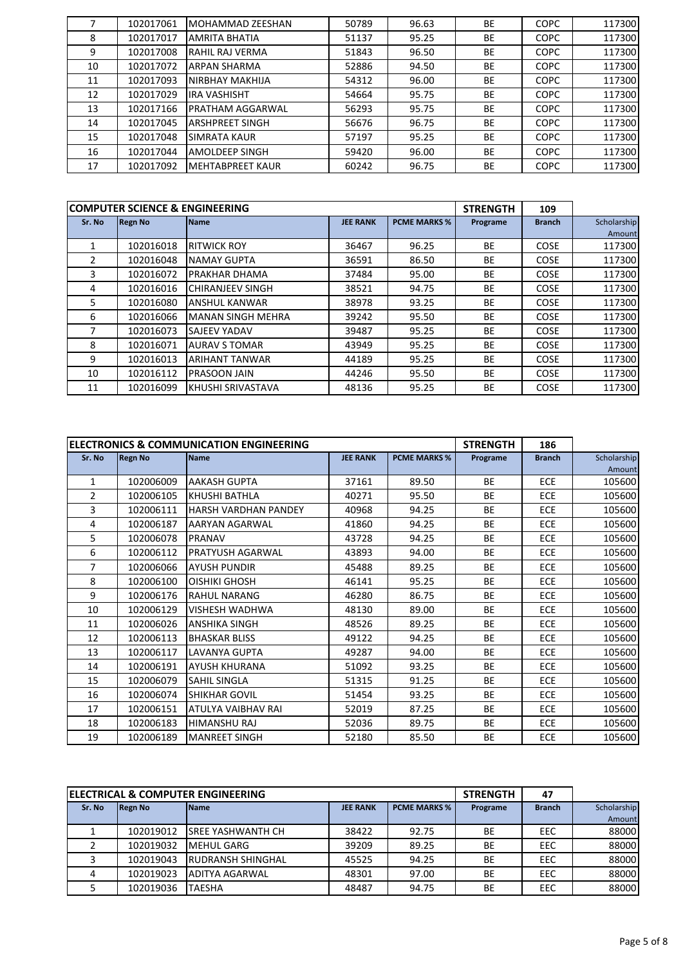|    | 102017061 | MOHAMMAD ZEESHAN        | 50789 | 96.63 | <b>BE</b> | <b>COPC</b> | 117300 |
|----|-----------|-------------------------|-------|-------|-----------|-------------|--------|
| 8  | 102017017 | <b>AMRITA BHATIA</b>    | 51137 | 95.25 | <b>BE</b> | <b>COPC</b> | 117300 |
| 9  | 102017008 | RAHIL RAJ VERMA         | 51843 | 96.50 | <b>BE</b> | <b>COPC</b> | 117300 |
| 10 | 102017072 | <b>ARPAN SHARMA</b>     | 52886 | 94.50 | <b>BE</b> | <b>COPC</b> | 117300 |
| 11 | 102017093 | <b>NIRBHAY MAKHIJA</b>  | 54312 | 96.00 | <b>BE</b> | <b>COPC</b> | 117300 |
| 12 | 102017029 | <b>IRA VASHISHT</b>     | 54664 | 95.75 | <b>BE</b> | <b>COPC</b> | 117300 |
| 13 | 102017166 | <b>PRATHAM AGGARWAL</b> | 56293 | 95.75 | <b>BE</b> | <b>COPC</b> | 117300 |
| 14 | 102017045 | <b>ARSHPREET SINGH</b>  | 56676 | 96.75 | <b>BE</b> | <b>COPC</b> | 117300 |
| 15 | 102017048 | <b>SIMRATA KAUR</b>     | 57197 | 95.25 | <b>BE</b> | <b>COPC</b> | 117300 |
| 16 | 102017044 | <b>AMOLDEEP SINGH</b>   | 59420 | 96.00 | <b>BE</b> | <b>COPC</b> | 117300 |
| 17 | 102017092 | <b>MEHTABPREET KAUR</b> | 60242 | 96.75 | BE        | <b>COPC</b> | 117300 |

|               | <b>COMPUTER SCIENCE &amp; ENGINEERING</b> |                          |                 | <b>STRENGTH</b>     | 109       |               |             |
|---------------|-------------------------------------------|--------------------------|-----------------|---------------------|-----------|---------------|-------------|
| Sr. No        | <b>Regn No</b>                            | <b>Name</b>              | <b>JEE RANK</b> | <b>PCME MARKS %</b> | Programe  | <b>Branch</b> | Scholarship |
|               |                                           |                          |                 |                     |           |               | Amount      |
|               | 102016018                                 | <b>RITWICK ROY</b>       | 36467           | 96.25               | <b>BE</b> | <b>COSE</b>   | 117300      |
| $\mathcal{P}$ | 102016048                                 | <b>NAMAY GUPTA</b>       | 36591           | 86.50               | <b>BE</b> | <b>COSE</b>   | 117300      |
| 3             | 102016072                                 | <b>PRAKHAR DHAMA</b>     | 37484           | 95.00               | <b>BE</b> | <b>COSE</b>   | 117300      |
| 4             | 102016016                                 | <b>CHIRANJEEV SINGH</b>  | 38521           | 94.75               | <b>BE</b> | <b>COSE</b>   | 117300      |
| 5             | 102016080                                 | <b>ANSHUL KANWAR</b>     | 38978           | 93.25               | <b>BE</b> | <b>COSE</b>   | 117300      |
| 6             | 102016066                                 | <b>MANAN SINGH MEHRA</b> | 39242           | 95.50               | <b>BE</b> | <b>COSE</b>   | 117300      |
|               | 102016073                                 | <b>SAJEEV YADAV</b>      | 39487           | 95.25               | <b>BE</b> | <b>COSE</b>   | 117300      |
| 8             | 102016071                                 | <b>AURAV S TOMAR</b>     | 43949           | 95.25               | <b>BE</b> | <b>COSE</b>   | 117300      |
| 9             | 102016013                                 | <b>ARIHANT TANWAR</b>    | 44189           | 95.25               | <b>BE</b> | <b>COSE</b>   | 117300      |
| 10            | 102016112                                 | <b>PRASOON JAIN</b>      | 44246           | 95.50               | <b>BE</b> | <b>COSE</b>   | 117300      |
| 11            | 102016099                                 | KHUSHI SRIVASTAVA        | 48136           | 95.25               | <b>BE</b> | <b>COSE</b>   | 117300      |

|                |                | ELECTRONICS & COMMUNICATION ENGINEERING |                 |                     | <b>STRENGTH</b> | 186           |             |
|----------------|----------------|-----------------------------------------|-----------------|---------------------|-----------------|---------------|-------------|
| Sr. No         | <b>Regn No</b> | <b>Name</b>                             | <b>JEE RANK</b> | <b>PCME MARKS %</b> | Programe        | <b>Branch</b> | Scholarship |
|                |                |                                         |                 |                     |                 |               | Amount      |
| $\mathbf{1}$   | 102006009      | <b>AAKASH GUPTA</b>                     | 37161           | 89.50               | <b>BE</b>       | <b>ECE</b>    | 105600      |
| $\overline{2}$ | 102006105      | <b>KHUSHI BATHLA</b>                    | 40271           | 95.50               | <b>BE</b>       | <b>ECE</b>    | 105600      |
| 3              | 102006111      | <b>HARSH VARDHAN PANDEY</b>             | 40968           | 94.25               | <b>BE</b>       | <b>ECE</b>    | 105600      |
| 4              | 102006187      | AARYAN AGARWAL                          | 41860           | 94.25               | <b>BE</b>       | <b>ECE</b>    | 105600      |
| 5              | 102006078      | <b>PRANAV</b>                           | 43728           | 94.25               | <b>BE</b>       | <b>ECE</b>    | 105600      |
| 6              | 102006112      | <b>PRATYUSH AGARWAL</b>                 | 43893           | 94.00               | <b>BE</b>       | <b>ECE</b>    | 105600      |
| 7              | 102006066      | <b>AYUSH PUNDIR</b>                     | 45488           | 89.25               | <b>BE</b>       | <b>ECE</b>    | 105600      |
| 8              | 102006100      | OISHIKI GHOSH                           | 46141           | 95.25               | <b>BE</b>       | <b>ECE</b>    | 105600      |
| 9              | 102006176      | <b>RAHUL NARANG</b>                     | 46280           | 86.75               | BE              | <b>ECE</b>    | 105600      |
| 10             | 102006129      | <b>VISHESH WADHWA</b>                   | 48130           | 89.00               | <b>BE</b>       | <b>ECE</b>    | 105600      |
| 11             | 102006026      | <b>ANSHIKA SINGH</b>                    | 48526           | 89.25               | <b>BE</b>       | <b>ECE</b>    | 105600      |
| 12             | 102006113      | <b>BHASKAR BLISS</b>                    | 49122           | 94.25               | <b>BE</b>       | <b>ECE</b>    | 105600      |
| 13             | 102006117      | <b>LAVANYA GUPTA</b>                    | 49287           | 94.00               | <b>BE</b>       | <b>ECE</b>    | 105600      |
| 14             | 102006191      | <b>AYUSH KHURANA</b>                    | 51092           | 93.25               | <b>BE</b>       | <b>ECE</b>    | 105600      |
| 15             | 102006079      | <b>SAHIL SINGLA</b>                     | 51315           | 91.25               | <b>BE</b>       | <b>ECE</b>    | 105600      |
| 16             | 102006074      | <b>SHIKHAR GOVIL</b>                    | 51454           | 93.25               | <b>BE</b>       | <b>ECE</b>    | 105600      |
| 17             | 102006151      | ATULYA VAIBHAV RAI                      | 52019           | 87.25               | <b>BE</b>       | <b>ECE</b>    | 105600      |
| 18             | 102006183      | <b>HIMANSHU RAJ</b>                     | 52036           | 89.75               | <b>BE</b>       | <b>ECE</b>    | 105600      |
| 19             | 102006189      | <b>MANREET SINGH</b>                    | 52180           | 85.50               | <b>BE</b>       | <b>ECE</b>    | 105600      |

|        |                | <b>IELECTRICAL &amp; COMPUTER ENGINEERING</b> |                 | <b>STRENGTH</b>     | 47       |               |             |
|--------|----------------|-----------------------------------------------|-----------------|---------------------|----------|---------------|-------------|
| Sr. No | <b>Regn No</b> | <b>Name</b>                                   | <b>JEE RANK</b> | <b>PCME MARKS %</b> | Programe | <b>Branch</b> | Scholarship |
|        |                |                                               |                 |                     |          |               | Amount      |
|        | 102019012      | <b>SREE YASHWANTH CH</b>                      | 38422           | 92.75               | BE       | EEC           | 88000       |
|        | 102019032      | <b>MEHUL GARG</b>                             | 39209           | 89.25               | BE       | EEC           | 88000       |
|        | 102019043      | <b>RUDRANSH SHINGHAL</b>                      | 45525           | 94.25               | BE       | EEC           | 88000       |
|        | 102019023      | ADITYA AGARWAL                                | 48301           | 97.00               | BE       | EEC           | 88000       |
|        | 102019036      | <b>TAESHA</b>                                 | 48487           | 94.75               | BE       | EEC           | 88000       |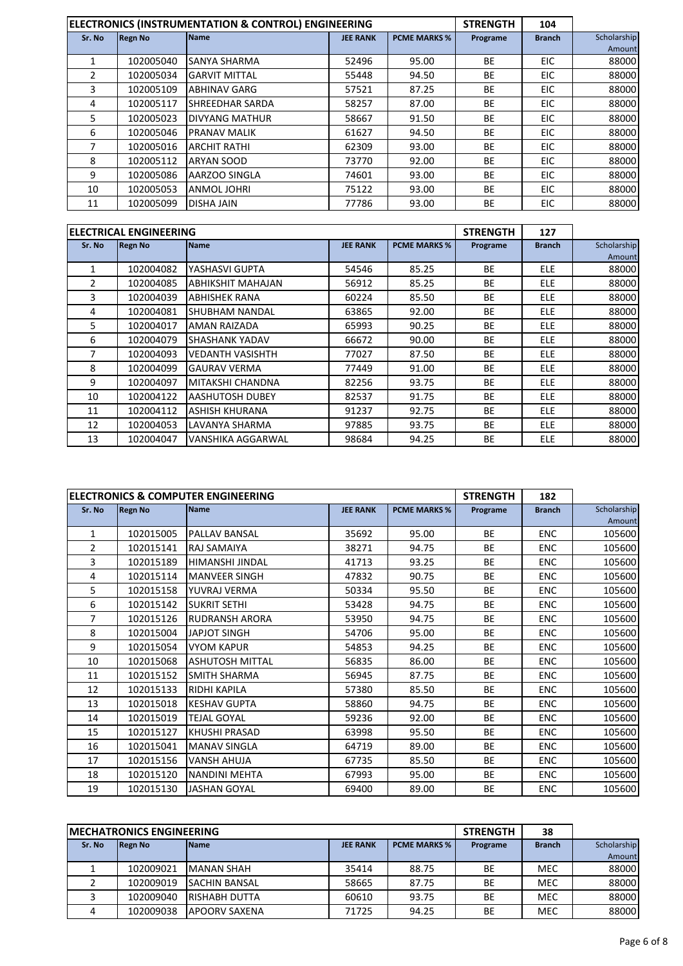|                |                | ELECTRONICS (INSTRUMENTATION & CONTROL) ENGINEERING |                 |                     | <b>STRENGTH</b> | 104           |             |
|----------------|----------------|-----------------------------------------------------|-----------------|---------------------|-----------------|---------------|-------------|
| Sr. No         | <b>Regn No</b> | <b>Name</b>                                         | <b>JEE RANK</b> | <b>PCME MARKS %</b> | Programe        | <b>Branch</b> | Scholarship |
|                |                |                                                     |                 |                     |                 |               | Amount      |
|                | 102005040      | <b>SANYA SHARMA</b>                                 | 52496           | 95.00               | BE              | EIC           | 88000       |
| $\mathfrak{p}$ | 102005034      | <b>GARVIT MITTAL</b>                                | 55448           | 94.50               | <b>BE</b>       | EIC           | 88000       |
| 3              | 102005109      | <b>ABHINAV GARG</b>                                 | 57521           | 87.25               | BE              | EIC           | 88000       |
| 4              | 102005117      | <b>SHREEDHAR SARDA</b>                              | 58257           | 87.00               | BE              | EIC.          | 88000       |
| 5              | 102005023      | <b>DIVYANG MATHUR</b>                               | 58667           | 91.50               | <b>BE</b>       | EIC           | 88000       |
| 6              | 102005046      | <b>PRANAV MALIK</b>                                 | 61627           | 94.50               | BE              | EIC           | 88000       |
| 7              | 102005016      | <b>ARCHIT RATHI</b>                                 | 62309           | 93.00               | BE              | EIC.          | 88000       |
| 8              | 102005112      | <b>ARYAN SOOD</b>                                   | 73770           | 92.00               | BE              | EIC           | 88000       |
| 9              | 102005086      | AARZOO SINGLA                                       | 74601           | 93.00               | BE              | EIC           | 88000       |
| 10             | 102005053      | <b>ANMOL JOHRI</b>                                  | 75122           | 93.00               | <b>BE</b>       | EIC           | 88000       |
| 11             | 102005099      | <b>DISHA JAIN</b>                                   | 77786           | 93.00               | <b>BE</b>       | EIC           | 88000       |

|               | <b>ELECTRICAL ENGINEERING</b> |                          |                 |                     | <b>STRENGTH</b> | 127           |             |
|---------------|-------------------------------|--------------------------|-----------------|---------------------|-----------------|---------------|-------------|
| Sr. No        | <b>Regn No</b>                | <b>Name</b>              | <b>JEE RANK</b> | <b>PCME MARKS %</b> | Programe        | <b>Branch</b> | Scholarship |
|               |                               |                          |                 |                     |                 |               | Amount      |
|               | 102004082                     | YASHASVI GUPTA           | 54546           | 85.25               | BE              | <b>ELE</b>    | 88000       |
| $\mathcal{P}$ | 102004085                     | <b>ABHIKSHIT MAHAJAN</b> | 56912           | 85.25               | <b>BE</b>       | <b>ELE</b>    | 88000       |
| 3             | 102004039                     | <b>ABHISHEK RANA</b>     | 60224           | 85.50               | <b>BE</b>       | <b>ELE</b>    | 88000       |
| 4             | 102004081                     | <b>SHUBHAM NANDAL</b>    | 63865           | 92.00               | <b>BE</b>       | <b>ELE</b>    | 88000       |
| 5.            | 102004017                     | <b>AMAN RAIZADA</b>      | 65993           | 90.25               | BE              | <b>ELE</b>    | 88000       |
| 6             | 102004079                     | <b>SHASHANK YADAV</b>    | 66672           | 90.00               | <b>BE</b>       | <b>ELE</b>    | 88000       |
| 7             | 102004093                     | <b>VEDANTH VASISHTH</b>  | 77027           | 87.50               | <b>BE</b>       | <b>ELE</b>    | 88000       |
| 8             | 102004099                     | <b>GAURAV VERMA</b>      | 77449           | 91.00               | <b>BE</b>       | <b>ELE</b>    | 88000       |
| 9             | 102004097                     | MITAKSHI CHANDNA         | 82256           | 93.75               | BE              | <b>ELE</b>    | 88000       |
| 10            | 102004122                     | <b>AASHUTOSH DUBEY</b>   | 82537           | 91.75               | BE              | <b>ELE</b>    | 88000       |
| 11            | 102004112                     | ASHISH KHURANA           | 91237           | 92.75               | BE              | <b>ELE</b>    | 88000       |
| 12            | 102004053                     | LAVANYA SHARMA           | 97885           | 93.75               | <b>BE</b>       | ELE           | 88000       |
| 13            | 102004047                     | VANSHIKA AGGARWAL        | 98684           | 94.25               | <b>BE</b>       | <b>ELE</b>    | 88000       |

|                |                | ELECTRONICS & COMPUTER ENGINEERING |                 |                     | <b>STRENGTH</b> | 182           |             |
|----------------|----------------|------------------------------------|-----------------|---------------------|-----------------|---------------|-------------|
| Sr. No         | <b>Regn No</b> | <b>Name</b>                        | <b>JEE RANK</b> | <b>PCME MARKS %</b> | Programe        | <b>Branch</b> | Scholarship |
|                |                |                                    |                 |                     |                 |               | Amount      |
| $\mathbf{1}$   | 102015005      | <b>PALLAV BANSAL</b>               | 35692           | 95.00               | <b>BE</b>       | <b>ENC</b>    | 105600      |
| $\overline{2}$ | 102015141      | <b>RAJ SAMAIYA</b>                 | 38271           | 94.75               | <b>BE</b>       | <b>ENC</b>    | 105600      |
| 3              | 102015189      | HIMANSHI JINDAL                    | 41713           | 93.25               | <b>BE</b>       | <b>ENC</b>    | 105600      |
| 4              | 102015114      | <b>MANVEER SINGH</b>               | 47832           | 90.75               | <b>BE</b>       | <b>ENC</b>    | 105600      |
| 5              | 102015158      | YUVRAJ VERMA                       | 50334           | 95.50               | <b>BE</b>       | <b>ENC</b>    | 105600      |
| 6              | 102015142      | <b>SUKRIT SETHI</b>                | 53428           | 94.75               | <b>BE</b>       | <b>ENC</b>    | 105600      |
| 7              | 102015126      | <b>RUDRANSH ARORA</b>              | 53950           | 94.75               | BE              | <b>ENC</b>    | 105600      |
| 8              | 102015004      | JAPJOT SINGH                       | 54706           | 95.00               | <b>BE</b>       | <b>ENC</b>    | 105600      |
| 9              | 102015054      | <b>VYOM KAPUR</b>                  | 54853           | 94.25               | <b>BE</b>       | <b>ENC</b>    | 105600      |
| 10             | 102015068      | <b>ASHUTOSH MITTAL</b>             | 56835           | 86.00               | <b>BE</b>       | <b>ENC</b>    | 105600      |
| 11             | 102015152      | <b>SMITH SHARMA</b>                | 56945           | 87.75               | <b>BE</b>       | <b>ENC</b>    | 105600      |
| 12             | 102015133      | <b>RIDHI KAPILA</b>                | 57380           | 85.50               | <b>BE</b>       | <b>ENC</b>    | 105600      |
| 13             | 102015018      | <b>KESHAV GUPTA</b>                | 58860           | 94.75               | <b>BE</b>       | <b>ENC</b>    | 105600      |
| 14             | 102015019      | <b>TEJAL GOYAL</b>                 | 59236           | 92.00               | BE              | <b>ENC</b>    | 105600      |
| 15             | 102015127      | <b>KHUSHI PRASAD</b>               | 63998           | 95.50               | <b>BE</b>       | <b>ENC</b>    | 105600      |
| 16             | 102015041      | <b>MANAV SINGLA</b>                | 64719           | 89.00               | <b>BE</b>       | <b>ENC</b>    | 105600      |
| 17             | 102015156      | <b>VANSH AHUJA</b>                 | 67735           | 85.50               | <b>BE</b>       | <b>ENC</b>    | 105600      |
| 18             | 102015120      | <b>NANDINI MEHTA</b>               | 67993           | 95.00               | <b>BE</b>       | <b>ENC</b>    | 105600      |
| 19             | 102015130      | <b>JASHAN GOYAL</b>                | 69400           | 89.00               | <b>BE</b>       | <b>ENC</b>    | 105600      |

|        | <b>IMECHATRONICS ENGINEERING</b> |                      | <b>STRENGTH</b> | 38                  |           |               |             |
|--------|----------------------------------|----------------------|-----------------|---------------------|-----------|---------------|-------------|
| Sr. No | <b>IRegn No</b>                  | <b>Name</b>          | <b>JEE RANK</b> | <b>PCME MARKS %</b> | Programe  | <b>Branch</b> | Scholarship |
|        |                                  |                      |                 |                     |           |               | Amount      |
|        | 102009021                        | <b>IMANAN SHAH</b>   | 35414           | 88.75               | <b>BE</b> | <b>MEC</b>    | 88000       |
|        | 102009019                        | <b>SACHIN BANSAL</b> | 58665           | 87.75               | <b>BE</b> | <b>MEC</b>    | 88000       |
|        | 102009040                        | IRISHABH DUTTA       | 60610           | 93.75               | <b>BE</b> | <b>MEC</b>    | 88000       |
|        | 102009038                        | <b>APOORV SAXENA</b> | 71725           | 94.25               | ВE        | <b>MEC</b>    | 88000       |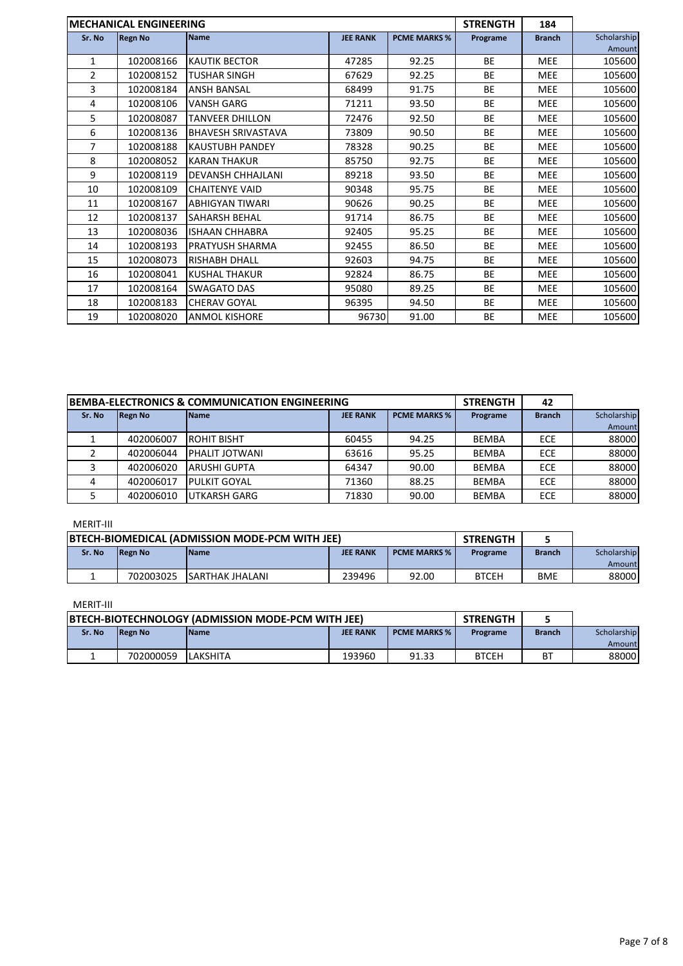|              | <b>IMECHANICAL ENGINEERING</b> |                           |                 |                     | <b>STRENGTH</b> | 184           |             |
|--------------|--------------------------------|---------------------------|-----------------|---------------------|-----------------|---------------|-------------|
| Sr. No       | <b>Regn No</b>                 | <b>Name</b>               | <b>JEE RANK</b> | <b>PCME MARKS %</b> | Programe        | <b>Branch</b> | Scholarship |
|              |                                |                           |                 |                     |                 |               | Amount      |
| $\mathbf{1}$ | 102008166                      | <b>KAUTIK BECTOR</b>      | 47285           | 92.25               | <b>BE</b>       | <b>MEE</b>    | 105600      |
| 2            | 102008152                      | <b>TUSHAR SINGH</b>       | 67629           | 92.25               | <b>BE</b>       | <b>MEE</b>    | 105600      |
| 3            | 102008184                      | <b>ANSH BANSAL</b>        | 68499           | 91.75               | <b>BE</b>       | <b>MEE</b>    | 105600      |
| 4            | 102008106                      | <b>VANSH GARG</b>         | 71211           | 93.50               | BE              | MEE           | 105600      |
| 5            | 102008087                      | <b>TANVEER DHILLON</b>    | 72476           | 92.50               | <b>BE</b>       | <b>MEE</b>    | 105600      |
| 6            | 102008136                      | <b>BHAVESH SRIVASTAVA</b> | 73809           | 90.50               | <b>BE</b>       | <b>MEE</b>    | 105600      |
| 7            | 102008188                      | <b>KAUSTUBH PANDEY</b>    | 78328           | 90.25               | <b>BE</b>       | <b>MEE</b>    | 105600      |
| 8            | 102008052                      | <b>KARAN THAKUR</b>       | 85750           | 92.75               | <b>BE</b>       | <b>MEE</b>    | 105600      |
| 9            | 102008119                      | <b>DEVANSH CHHAJLANI</b>  | 89218           | 93.50               | <b>BE</b>       | <b>MEE</b>    | 105600      |
| 10           | 102008109                      | <b>CHAITENYE VAID</b>     | 90348           | 95.75               | <b>BE</b>       | <b>MEE</b>    | 105600      |
| 11           | 102008167                      | <b>ABHIGYAN TIWARI</b>    | 90626           | 90.25               | <b>BE</b>       | <b>MEE</b>    | 105600      |
| 12           | 102008137                      | <b>SAHARSH BEHAL</b>      | 91714           | 86.75               | <b>BE</b>       | <b>MEE</b>    | 105600      |
| 13           | 102008036                      | <b>ISHAAN CHHABRA</b>     | 92405           | 95.25               | <b>BE</b>       | <b>MEE</b>    | 105600      |
| 14           | 102008193                      | <b>PRATYUSH SHARMA</b>    | 92455           | 86.50               | <b>BE</b>       | <b>MEE</b>    | 105600      |
| 15           | 102008073                      | <b>RISHABH DHALL</b>      | 92603           | 94.75               | <b>BE</b>       | <b>MEE</b>    | 105600      |
| 16           | 102008041                      | <b>KUSHAL THAKUR</b>      | 92824           | 86.75               | <b>BE</b>       | <b>MEE</b>    | 105600      |
| 17           | 102008164                      | <b>SWAGATO DAS</b>        | 95080           | 89.25               | <b>BE</b>       | <b>MEE</b>    | 105600      |
| 18           | 102008183                      | <b>CHERAV GOYAL</b>       | 96395           | 94.50               | <b>BE</b>       | <b>MEE</b>    | 105600      |
| 19           | 102008020                      | <b>ANMOL KISHORE</b>      | 96730           | 91.00               | <b>BE</b>       | <b>MEE</b>    | 105600      |

| <b>IBEMBA-ELECTRONICS &amp; COMMUNICATION ENGINEERING</b> |                |                       |                 |                     | <b>STRENGTH</b> | 42            |             |
|-----------------------------------------------------------|----------------|-----------------------|-----------------|---------------------|-----------------|---------------|-------------|
| Sr. No                                                    | <b>Regn No</b> | <b>Name</b>           | <b>JEE RANK</b> | <b>PCME MARKS %</b> | Programe        | <b>Branch</b> | Scholarship |
|                                                           |                |                       |                 |                     |                 |               | Amount      |
|                                                           | 402006007      | <b>ROHIT BISHT</b>    | 60455           | 94.25               | <b>BEMBA</b>    | <b>ECE</b>    | 88000       |
|                                                           | 402006044      | <b>PHALIT JOTWANI</b> | 63616           | 95.25               | <b>BEMBA</b>    | ECE           | 88000       |
|                                                           | 402006020      | <b>ARUSHI GUPTA</b>   | 64347           | 90.00               | <b>BEMBA</b>    | <b>ECE</b>    | 88000       |
|                                                           | 402006017      | <b>PULKIT GOYAL</b>   | 71360           | 88.25               | <b>BEMBA</b>    | <b>ECE</b>    | 88000       |
|                                                           | 402006010      | <b>UTKARSH GARG</b>   | 71830           | 90.00               | <b>BEMBA</b>    | <b>ECE</b>    | 88000       |

# MERIT-III

| <b>BTECH-BIOMEDICAL (ADMISSION MODE-PCM WITH JEE)</b>                              |           |                         |        |          | <b>STRENGTH</b> |                       |       |
|------------------------------------------------------------------------------------|-----------|-------------------------|--------|----------|-----------------|-----------------------|-------|
| <b>Name</b><br><b>JEE RANK</b><br>Sr. No<br><b>PCME MARKS %</b><br><b>IRegn No</b> |           |                         |        | Programe | <b>Branch</b>   | Scholarship<br>Amount |       |
|                                                                                    | 702003025 | <b>ISARTHAK JHALANI</b> | 239496 | 92.00    | <b>BTCEH</b>    | <b>BME</b>            | 88000 |

## MERIT-III

| <b>BIECH-BIOTECHNOLOGY (ADMISSION MODE-PCM WITH JEE)</b>                           |           |          |          |               | <b>STRENGTH</b> |    |        |
|------------------------------------------------------------------------------------|-----------|----------|----------|---------------|-----------------|----|--------|
| Sr. No<br><b>JEE RANK</b><br><b>PCME MARKS %</b><br><b>Name</b><br><b>IRegn No</b> |           |          | Programe | <b>Branch</b> | Scholarship     |    |        |
|                                                                                    |           |          |          |               |                 |    | Amount |
|                                                                                    | 702000059 | LAKSHITA | 193960   | 91.33         | <b>BTCEH</b>    | BT | 88000  |